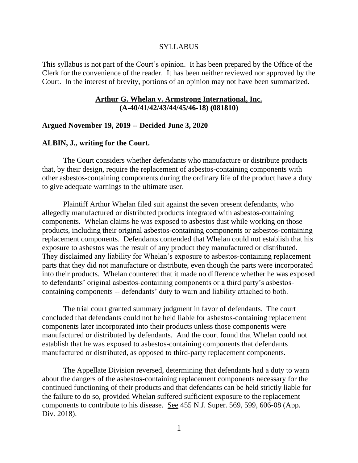#### SYLLABUS

This syllabus is not part of the Court's opinion. It has been prepared by the Office of the Clerk for the convenience of the reader. It has been neither reviewed nor approved by the Court. In the interest of brevity, portions of an opinion may not have been summarized.

#### **Arthur G. Whelan v. Armstrong International, Inc. (A-40/41/42/43/44/45/46-18) (081810)**

#### **Argued November 19, 2019 -- Decided June 3, 2020**

# **ALBIN, J., writing for the Court.**

The Court considers whether defendants who manufacture or distribute products that, by their design, require the replacement of asbestos-containing components with other asbestos-containing components during the ordinary life of the product have a duty to give adequate warnings to the ultimate user.

Plaintiff Arthur Whelan filed suit against the seven present defendants, who allegedly manufactured or distributed products integrated with asbestos-containing components. Whelan claims he was exposed to asbestos dust while working on those products, including their original asbestos-containing components or asbestos-containing replacement components. Defendants contended that Whelan could not establish that his exposure to asbestos was the result of any product they manufactured or distributed. They disclaimed any liability for Whelan's exposure to asbestos-containing replacement parts that they did not manufacture or distribute, even though the parts were incorporated into their products. Whelan countered that it made no difference whether he was exposed to defendants' original asbestos-containing components or a third party's asbestoscontaining components -- defendants' duty to warn and liability attached to both.

The trial court granted summary judgment in favor of defendants. The court concluded that defendants could not be held liable for asbestos-containing replacement components later incorporated into their products unless those components were manufactured or distributed by defendants. And the court found that Whelan could not establish that he was exposed to asbestos-containing components that defendants manufactured or distributed, as opposed to third-party replacement components.

The Appellate Division reversed, determining that defendants had a duty to warn about the dangers of the asbestos-containing replacement components necessary for the continued functioning of their products and that defendants can be held strictly liable for the failure to do so, provided Whelan suffered sufficient exposure to the replacement components to contribute to his disease. See 455 N.J. Super. 569, 599, 606-08 (App. Div. 2018).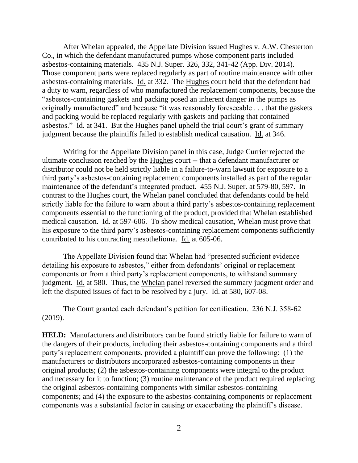After Whelan appealed, the Appellate Division issued Hughes v. A.W. Chesterton Co., in which the defendant manufactured pumps whose component parts included asbestos-containing materials. 435 N.J. Super. 326, 332, 341-42 (App. Div. 2014). Those component parts were replaced regularly as part of routine maintenance with other asbestos-containing materials. Id. at 332. The Hughes court held that the defendant had a duty to warn, regardless of who manufactured the replacement components, because the "asbestos-containing gaskets and packing posed an inherent danger in the pumps as originally manufactured" and because "it was reasonably foreseeable . . . that the gaskets and packing would be replaced regularly with gaskets and packing that contained asbestos." Id. at 341. But the Hughes panel upheld the trial court's grant of summary judgment because the plaintiffs failed to establish medical causation. Id. at 346.

Writing for the Appellate Division panel in this case, Judge Currier rejected the ultimate conclusion reached by the Hughes court -- that a defendant manufacturer or distributor could not be held strictly liable in a failure-to-warn lawsuit for exposure to a third party's asbestos-containing replacement components installed as part of the regular maintenance of the defendant's integrated product. 455 N.J. Super. at 579-80, 597. In contrast to the Hughes court, the Whelan panel concluded that defendants could be held strictly liable for the failure to warn about a third party's asbestos-containing replacement components essential to the functioning of the product, provided that Whelan established medical causation. Id. at 597-606. To show medical causation, Whelan must prove that his exposure to the third party's asbestos-containing replacement components sufficiently contributed to his contracting mesothelioma. Id. at 605-06.

The Appellate Division found that Whelan had "presented sufficient evidence detailing his exposure to asbestos," either from defendants' original or replacement components or from a third party's replacement components, to withstand summary judgment. Id. at 580. Thus, the Whelan panel reversed the summary judgment order and left the disputed issues of fact to be resolved by a jury. Id. at 580, 607-08.

The Court granted each defendant's petition for certification. 236 N.J. 358-62 (2019).

**HELD:** Manufacturers and distributors can be found strictly liable for failure to warn of the dangers of their products, including their asbestos-containing components and a third party's replacement components, provided a plaintiff can prove the following: (1) the manufacturers or distributors incorporated asbestos-containing components in their original products; (2) the asbestos-containing components were integral to the product and necessary for it to function; (3) routine maintenance of the product required replacing the original asbestos-containing components with similar asbestos-containing components; and (4) the exposure to the asbestos-containing components or replacement components was a substantial factor in causing or exacerbating the plaintiff's disease.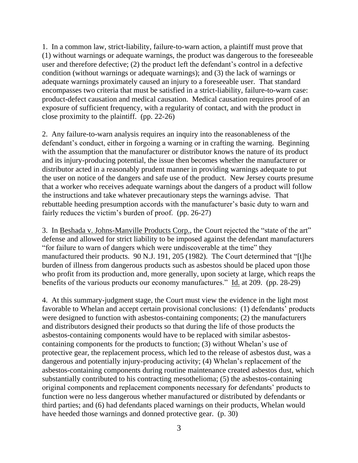1. In a common law, strict-liability, failure-to-warn action, a plaintiff must prove that (1) without warnings or adequate warnings, the product was dangerous to the foreseeable user and therefore defective; (2) the product left the defendant's control in a defective condition (without warnings or adequate warnings); and (3) the lack of warnings or adequate warnings proximately caused an injury to a foreseeable user. That standard encompasses two criteria that must be satisfied in a strict-liability, failure-to-warn case: product-defect causation and medical causation. Medical causation requires proof of an exposure of sufficient frequency, with a regularity of contact, and with the product in close proximity to the plaintiff. (pp. 22-26)

2. Any failure-to-warn analysis requires an inquiry into the reasonableness of the defendant's conduct, either in forgoing a warning or in crafting the warning. Beginning with the assumption that the manufacturer or distributor knows the nature of its product and its injury-producing potential, the issue then becomes whether the manufacturer or distributor acted in a reasonably prudent manner in providing warnings adequate to put the user on notice of the dangers and safe use of the product. New Jersey courts presume that a worker who receives adequate warnings about the dangers of a product will follow the instructions and take whatever precautionary steps the warnings advise. That rebuttable heeding presumption accords with the manufacturer's basic duty to warn and fairly reduces the victim's burden of proof. (pp. 26-27)

3. In Beshada v. Johns-Manville Products Corp., the Court rejected the "state of the art" defense and allowed for strict liability to be imposed against the defendant manufacturers "for failure to warn of dangers which were undiscoverable at the time" they manufactured their products. 90 N.J. 191, 205 (1982). The Court determined that "[t]he burden of illness from dangerous products such as asbestos should be placed upon those who profit from its production and, more generally, upon society at large, which reaps the benefits of the various products our economy manufactures." Id. at 209. (pp. 28-29)

4. At this summary-judgment stage, the Court must view the evidence in the light most favorable to Whelan and accept certain provisional conclusions: (1) defendants' products were designed to function with asbestos-containing components; (2) the manufacturers and distributors designed their products so that during the life of those products the asbestos-containing components would have to be replaced with similar asbestoscontaining components for the products to function; (3) without Whelan's use of protective gear, the replacement process, which led to the release of asbestos dust, was a dangerous and potentially injury-producing activity; (4) Whelan's replacement of the asbestos-containing components during routine maintenance created asbestos dust, which substantially contributed to his contracting mesothelioma; (5) the asbestos-containing original components and replacement components necessary for defendants' products to function were no less dangerous whether manufactured or distributed by defendants or third parties; and (6) had defendants placed warnings on their products, Whelan would have heeded those warnings and donned protective gear. (p. 30)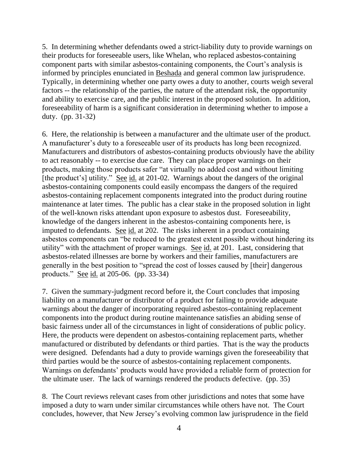5. In determining whether defendants owed a strict-liability duty to provide warnings on their products for foreseeable users, like Whelan, who replaced asbestos-containing component parts with similar asbestos-containing components, the Court's analysis is informed by principles enunciated in Beshada and general common law jurisprudence. Typically, in determining whether one party owes a duty to another, courts weigh several factors -- the relationship of the parties, the nature of the attendant risk, the opportunity and ability to exercise care, and the public interest in the proposed solution. In addition, foreseeability of harm is a significant consideration in determining whether to impose a duty. (pp. 31-32)

6. Here, the relationship is between a manufacturer and the ultimate user of the product. A manufacturer's duty to a foreseeable user of its products has long been recognized. Manufacturers and distributors of asbestos-containing products obviously have the ability to act reasonably -- to exercise due care. They can place proper warnings on their products, making those products safer "at virtually no added cost and without limiting [the product's] utility." See id. at 201-02. Warnings about the dangers of the original asbestos-containing components could easily encompass the dangers of the required asbestos-containing replacement components integrated into the product during routine maintenance at later times. The public has a clear stake in the proposed solution in light of the well-known risks attendant upon exposure to asbestos dust. Foreseeability, knowledge of the dangers inherent in the asbestos-containing components here, is imputed to defendants. See id. at 202. The risks inherent in a product containing asbestos components can "be reduced to the greatest extent possible without hindering its utility" with the attachment of proper warnings. See id. at 201. Last, considering that asbestos-related illnesses are borne by workers and their families, manufacturers are generally in the best position to "spread the cost of losses caused by [their] dangerous products." See id. at 205-06. (pp. 33-34)

7. Given the summary-judgment record before it, the Court concludes that imposing liability on a manufacturer or distributor of a product for failing to provide adequate warnings about the danger of incorporating required asbestos-containing replacement components into the product during routine maintenance satisfies an abiding sense of basic fairness under all of the circumstances in light of considerations of public policy. Here, the products were dependent on asbestos-containing replacement parts, whether manufactured or distributed by defendants or third parties. That is the way the products were designed. Defendants had a duty to provide warnings given the foreseeability that third parties would be the source of asbestos-containing replacement components. Warnings on defendants' products would have provided a reliable form of protection for the ultimate user. The lack of warnings rendered the products defective. (pp. 35)

8. The Court reviews relevant cases from other jurisdictions and notes that some have imposed a duty to warn under similar circumstances while others have not. The Court concludes, however, that New Jersey's evolving common law jurisprudence in the field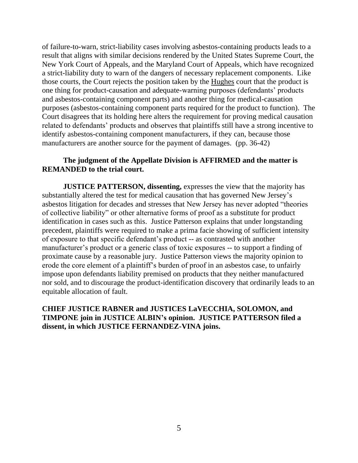of failure-to-warn, strict-liability cases involving asbestos-containing products leads to a result that aligns with similar decisions rendered by the United States Supreme Court, the New York Court of Appeals, and the Maryland Court of Appeals, which have recognized a strict-liability duty to warn of the dangers of necessary replacement components. Like those courts, the Court rejects the position taken by the Hughes court that the product is one thing for product-causation and adequate-warning purposes (defendants' products and asbestos-containing component parts) and another thing for medical-causation purposes (asbestos-containing component parts required for the product to function). The Court disagrees that its holding here alters the requirement for proving medical causation related to defendants' products and observes that plaintiffs still have a strong incentive to identify asbestos-containing component manufacturers, if they can, because those manufacturers are another source for the payment of damages. (pp. 36-42)

# **The judgment of the Appellate Division is AFFIRMED and the matter is REMANDED to the trial court.**

**JUSTICE PATTERSON, dissenting,** expresses the view that the majority has substantially altered the test for medical causation that has governed New Jersey's asbestos litigation for decades and stresses that New Jersey has never adopted "theories of collective liability" or other alternative forms of proof as a substitute for product identification in cases such as this. Justice Patterson explains that under longstanding precedent, plaintiffs were required to make a prima facie showing of sufficient intensity of exposure to that specific defendant's product -- as contrasted with another manufacturer's product or a generic class of toxic exposures -- to support a finding of proximate cause by a reasonable jury. Justice Patterson views the majority opinion to erode the core element of a plaintiff's burden of proof in an asbestos case, to unfairly impose upon defendants liability premised on products that they neither manufactured nor sold, and to discourage the product-identification discovery that ordinarily leads to an equitable allocation of fault.

**CHIEF JUSTICE RABNER and JUSTICES LaVECCHIA, SOLOMON, and TIMPONE join in JUSTICE ALBIN's opinion. JUSTICE PATTERSON filed a dissent, in which JUSTICE FERNANDEZ-VINA joins.**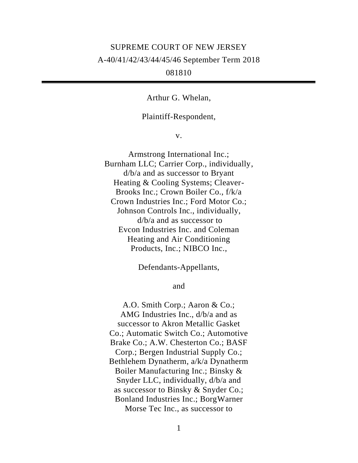# SUPREME COURT OF NEW JERSEY A-40/41/42/43/44/45/46 September Term 2018 081810

Arthur G. Whelan,

#### Plaintiff-Respondent,

v.

Armstrong International Inc.; Burnham LLC; Carrier Corp., individually, d/b/a and as successor to Bryant Heating & Cooling Systems; Cleaver-Brooks Inc.; Crown Boiler Co., f/k/a Crown Industries Inc.; Ford Motor Co.; Johnson Controls Inc., individually, d/b/a and as successor to Evcon Industries Inc. and Coleman Heating and Air Conditioning Products, Inc.; NIBCO Inc.,

Defendants-Appellants,

and

A.O. Smith Corp.; Aaron & Co.; AMG Industries Inc., d/b/a and as successor to Akron Metallic Gasket Co.; Automatic Switch Co.; Automotive Brake Co.; A.W. Chesterton Co.; BASF Corp.; Bergen Industrial Supply Co.; Bethlehem Dynatherm, a/k/a Dynatherm Boiler Manufacturing Inc.; Binsky & Snyder LLC, individually, d/b/a and as successor to Binsky & Snyder Co.; Bonland Industries Inc.; BorgWarner Morse Tec Inc., as successor to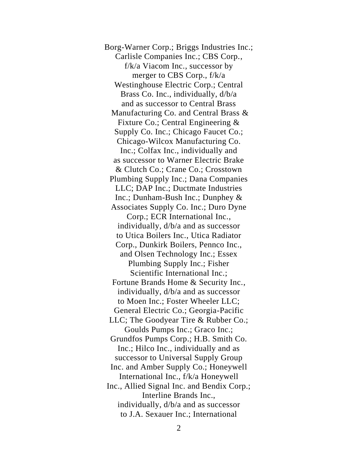Borg-Warner Corp.; Briggs Industries Inc.; Carlisle Companies Inc.; CBS Corp., f/k/a Viacom Inc., successor by merger to CBS Corp., f/k/a Westinghouse Electric Corp.; Central Brass Co. Inc., individually, d/b/a and as successor to Central Brass Manufacturing Co. and Central Brass & Fixture Co.; Central Engineering & Supply Co. Inc.; Chicago Faucet Co.; Chicago-Wilcox Manufacturing Co. Inc.; Colfax Inc., individually and as successor to Warner Electric Brake & Clutch Co.; Crane Co.; Crosstown Plumbing Supply Inc.; Dana Companies LLC; DAP Inc.; Ductmate Industries Inc.; Dunham-Bush Inc.; Dunphey & Associates Supply Co. Inc.; Duro Dyne Corp.; ECR International Inc., individually, d/b/a and as successor to Utica Boilers Inc., Utica Radiator Corp., Dunkirk Boilers, Pennco Inc., and Olsen Technology Inc.; Essex Plumbing Supply Inc.; Fisher Scientific International Inc.; Fortune Brands Home & Security Inc., individually, d/b/a and as successor to Moen Inc.; Foster Wheeler LLC; General Electric Co.; Georgia-Pacific LLC; The Goodyear Tire & Rubber Co.; Goulds Pumps Inc.; Graco Inc.; Grundfos Pumps Corp.; H.B. Smith Co. Inc.; Hilco Inc., individually and as successor to Universal Supply Group Inc. and Amber Supply Co.; Honeywell International Inc., f/k/a Honeywell Inc., Allied Signal Inc. and Bendix Corp.; Interline Brands Inc., individually, d/b/a and as successor to J.A. Sexauer Inc.; International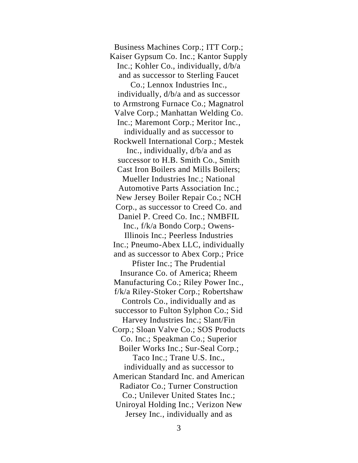Business Machines Corp.; ITT Corp.; Kaiser Gypsum Co. Inc.; Kantor Supply Inc.; Kohler Co., individually, d/b/a and as successor to Sterling Faucet Co.; Lennox Industries Inc., individually, d/b/a and as successor to Armstrong Furnace Co.; Magnatrol Valve Corp.; Manhattan Welding Co. Inc.; Maremont Corp.; Meritor Inc., individually and as successor to Rockwell International Corp.; Mestek Inc., individually, d/b/a and as successor to H.B. Smith Co., Smith Cast Iron Boilers and Mills Boilers; Mueller Industries Inc.; National Automotive Parts Association Inc.; New Jersey Boiler Repair Co.; NCH Corp., as successor to Creed Co. and Daniel P. Creed Co. Inc.; NMBFIL Inc., f/k/a Bondo Corp.; Owens-Illinois Inc.; Peerless Industries Inc.; Pneumo-Abex LLC, individually and as successor to Abex Corp.; Price Pfister Inc.; The Prudential Insurance Co. of America; Rheem Manufacturing Co.; Riley Power Inc., f/k/a Riley-Stoker Corp.; Robertshaw Controls Co., individually and as successor to Fulton Sylphon Co.; Sid Harvey Industries Inc.; Slant/Fin Corp.; Sloan Valve Co.; SOS Products Co. Inc.; Speakman Co.; Superior Boiler Works Inc.; Sur-Seal Corp.; Taco Inc.; Trane U.S. Inc., individually and as successor to American Standard Inc. and American Radiator Co.; Turner Construction Co.; Unilever United States Inc.; Uniroyal Holding Inc.; Verizon New Jersey Inc., individually and as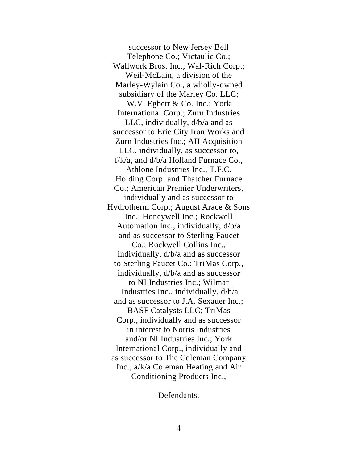successor to New Jersey Bell Telephone Co.; Victaulic Co.; Wallwork Bros. Inc.; Wal-Rich Corp.; Weil-McLain, a division of the Marley-Wylain Co., a wholly-owned subsidiary of the Marley Co. LLC; W.V. Egbert & Co. Inc.; York International Corp.; Zurn Industries LLC, individually, d/b/a and as successor to Erie City Iron Works and Zurn Industries Inc.; AII Acquisition LLC, individually, as successor to,  $f/k/a$ , and  $d/b/a$  Holland Furnace Co., Athlone Industries Inc., T.F.C. Holding Corp. and Thatcher Furnace Co.; American Premier Underwriters, individually and as successor to Hydrotherm Corp.; August Arace & Sons Inc.; Honeywell Inc.; Rockwell Automation Inc., individually, d/b/a and as successor to Sterling Faucet Co.; Rockwell Collins Inc., individually, d/b/a and as successor to Sterling Faucet Co.; TriMas Corp., individually, d/b/a and as successor to NI Industries Inc.; Wilmar Industries Inc., individually, d/b/a and as successor to J.A. Sexauer Inc.; BASF Catalysts LLC; TriMas Corp., individually and as successor in interest to Norris Industries and/or NI Industries Inc.; York International Corp., individually and as successor to The Coleman Company Inc., a/k/a Coleman Heating and Air Conditioning Products Inc.,

Defendants.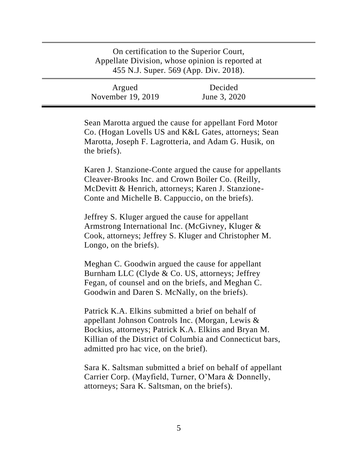| On certification to the Superior Court,<br>Appellate Division, whose opinion is reported at<br>455 N.J. Super. 569 (App. Div. 2018). |                         |  |
|--------------------------------------------------------------------------------------------------------------------------------------|-------------------------|--|
| Argued<br>November 19, 2019                                                                                                          | Decided<br>June 3, 2020 |  |

Sean Marotta argued the cause for appellant Ford Motor Co. (Hogan Lovells US and K&L Gates, attorneys; Sean Marotta, Joseph F. Lagrotteria, and Adam G. Husik, on the briefs).

Karen J. Stanzione-Conte argued the cause for appellants Cleaver-Brooks Inc. and Crown Boiler Co. (Reilly, McDevitt & Henrich, attorneys; Karen J. Stanzione-Conte and Michelle B. Cappuccio, on the briefs).

Jeffrey S. Kluger argued the cause for appellant Armstrong International Inc. (McGivney, Kluger & Cook, attorneys; Jeffrey S. Kluger and Christopher M. Longo, on the briefs).

Meghan C. Goodwin argued the cause for appellant Burnham LLC (Clyde & Co. US, attorneys; Jeffrey Fegan, of counsel and on the briefs, and Meghan C. Goodwin and Daren S. McNally, on the briefs).

Patrick K.A. Elkins submitted a brief on behalf of appellant Johnson Controls Inc. (Morgan, Lewis & Bockius, attorneys; Patrick K.A. Elkins and Bryan M. Killian of the District of Columbia and Connecticut bars, admitted pro hac vice, on the brief).

Sara K. Saltsman submitted a brief on behalf of appellant Carrier Corp. (Mayfield, Turner, O'Mara & Donnelly, attorneys; Sara K. Saltsman, on the briefs).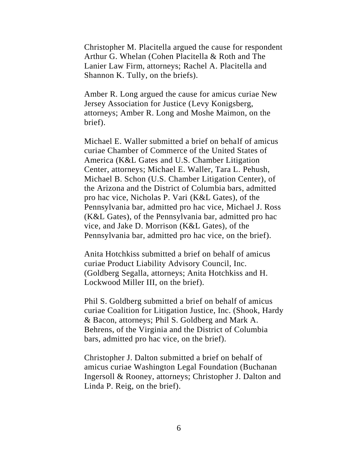Christopher M. Placitella argued the cause for respondent Arthur G. Whelan (Cohen Placitella & Roth and The Lanier Law Firm, attorneys; Rachel A. Placitella and Shannon K. Tully, on the briefs).

Amber R. Long argued the cause for amicus curiae New Jersey Association for Justice (Levy Konigsberg, attorneys; Amber R. Long and Moshe Maimon, on the brief).

Michael E. Waller submitted a brief on behalf of amicus curiae Chamber of Commerce of the United States of America (K&L Gates and U.S. Chamber Litigation Center, attorneys; Michael E. Waller, Tara L. Pehush, Michael B. Schon (U.S. Chamber Litigation Center), of the Arizona and the District of Columbia bars, admitted pro hac vice, Nicholas P. Vari (K&L Gates), of the Pennsylvania bar, admitted pro hac vice, Michael J. Ross (K&L Gates), of the Pennsylvania bar, admitted pro hac vice, and Jake D. Morrison (K&L Gates), of the Pennsylvania bar, admitted pro hac vice, on the brief).

Anita Hotchkiss submitted a brief on behalf of amicus curiae Product Liability Advisory Council, Inc. (Goldberg Segalla, attorneys; Anita Hotchkiss and H. Lockwood Miller III, on the brief).

Phil S. Goldberg submitted a brief on behalf of amicus curiae Coalition for Litigation Justice, Inc. (Shook, Hardy & Bacon, attorneys; Phil S. Goldberg and Mark A. Behrens, of the Virginia and the District of Columbia bars, admitted pro hac vice, on the brief).

Christopher J. Dalton submitted a brief on behalf of amicus curiae Washington Legal Foundation (Buchanan Ingersoll & Rooney, attorneys; Christopher J. Dalton and Linda P. Reig, on the brief).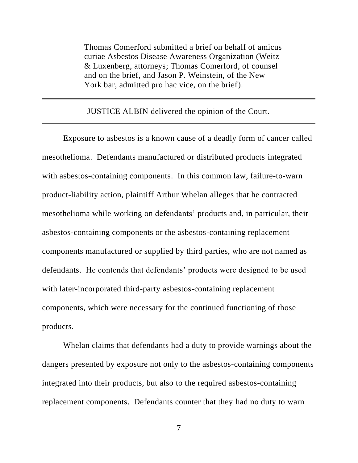Thomas Comerford submitted a brief on behalf of amicus curiae Asbestos Disease Awareness Organization (Weitz & Luxenberg, attorneys; Thomas Comerford, of counsel and on the brief, and Jason P. Weinstein, of the New York bar, admitted pro hac vice, on the brief).

JUSTICE ALBIN delivered the opinion of the Court.

Exposure to asbestos is a known cause of a deadly form of cancer called mesothelioma. Defendants manufactured or distributed products integrated with asbestos-containing components. In this common law, failure-to-warn product-liability action, plaintiff Arthur Whelan alleges that he contracted mesothelioma while working on defendants' products and, in particular, their asbestos-containing components or the asbestos-containing replacement components manufactured or supplied by third parties, who are not named as defendants. He contends that defendants' products were designed to be used with later-incorporated third-party asbestos-containing replacement components, which were necessary for the continued functioning of those products.

Whelan claims that defendants had a duty to provide warnings about the dangers presented by exposure not only to the asbestos-containing components integrated into their products, but also to the required asbestos-containing replacement components. Defendants counter that they had no duty to warn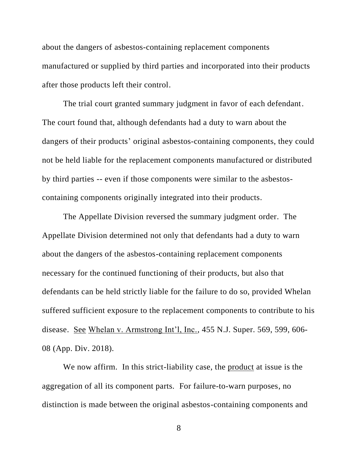about the dangers of asbestos-containing replacement components manufactured or supplied by third parties and incorporated into their products after those products left their control.

The trial court granted summary judgment in favor of each defendant. The court found that, although defendants had a duty to warn about the dangers of their products' original asbestos-containing components, they could not be held liable for the replacement components manufactured or distributed by third parties -- even if those components were similar to the asbestoscontaining components originally integrated into their products.

The Appellate Division reversed the summary judgment order. The Appellate Division determined not only that defendants had a duty to warn about the dangers of the asbestos-containing replacement components necessary for the continued functioning of their products, but also that defendants can be held strictly liable for the failure to do so, provided Whelan suffered sufficient exposure to the replacement components to contribute to his disease. See Whelan v. Armstrong Int'l, Inc., 455 N.J. Super. 569, 599, 606- 08 (App. Div. 2018).

We now affirm. In this strict-liability case, the product at issue is the aggregation of all its component parts. For failure-to-warn purposes, no distinction is made between the original asbestos-containing components and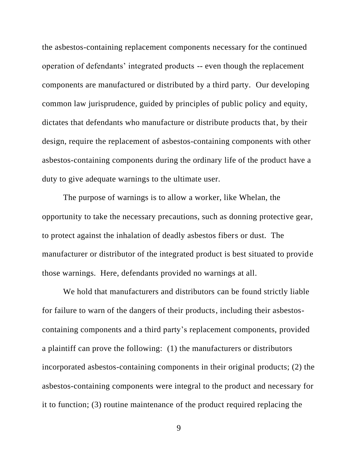the asbestos-containing replacement components necessary for the continued operation of defendants' integrated products -- even though the replacement components are manufactured or distributed by a third party. Our developing common law jurisprudence, guided by principles of public policy and equity, dictates that defendants who manufacture or distribute products that, by their design, require the replacement of asbestos-containing components with other asbestos-containing components during the ordinary life of the product have a duty to give adequate warnings to the ultimate user.

The purpose of warnings is to allow a worker, like Whelan, the opportunity to take the necessary precautions, such as donning protective gear, to protect against the inhalation of deadly asbestos fibers or dust. The manufacturer or distributor of the integrated product is best situated to provide those warnings. Here, defendants provided no warnings at all.

We hold that manufacturers and distributors can be found strictly liable for failure to warn of the dangers of their products, including their asbestoscontaining components and a third party's replacement components, provided a plaintiff can prove the following: (1) the manufacturers or distributors incorporated asbestos-containing components in their original products; (2) the asbestos-containing components were integral to the product and necessary for it to function; (3) routine maintenance of the product required replacing the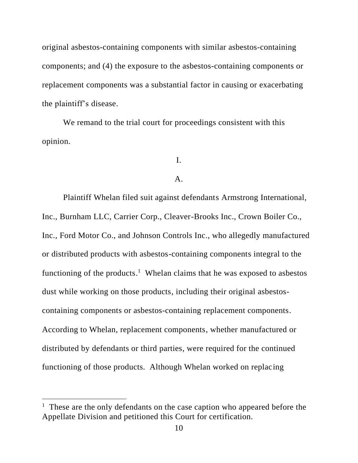original asbestos-containing components with similar asbestos-containing components; and (4) the exposure to the asbestos-containing components or replacement components was a substantial factor in causing or exacerbating the plaintiff's disease.

We remand to the trial court for proceedings consistent with this opinion.

# I.

#### A.

Plaintiff Whelan filed suit against defendants Armstrong International, Inc., Burnham LLC, Carrier Corp., Cleaver-Brooks Inc., Crown Boiler Co., Inc., Ford Motor Co., and Johnson Controls Inc., who allegedly manufactured or distributed products with asbestos-containing components integral to the functioning of the products.<sup>1</sup> Whelan claims that he was exposed to asbestos dust while working on those products, including their original asbestoscontaining components or asbestos-containing replacement components. According to Whelan, replacement components, whether manufactured or distributed by defendants or third parties, were required for the continued functioning of those products. Although Whelan worked on replacing

<sup>&</sup>lt;sup>1</sup> These are the only defendants on the case caption who appeared before the Appellate Division and petitioned this Court for certification.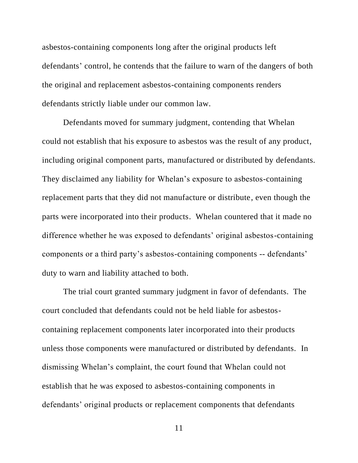asbestos-containing components long after the original products left defendants' control, he contends that the failure to warn of the dangers of both the original and replacement asbestos-containing components renders defendants strictly liable under our common law.

Defendants moved for summary judgment, contending that Whelan could not establish that his exposure to asbestos was the result of any product, including original component parts, manufactured or distributed by defendants. They disclaimed any liability for Whelan's exposure to asbestos-containing replacement parts that they did not manufacture or distribute, even though the parts were incorporated into their products. Whelan countered that it made no difference whether he was exposed to defendants' original asbestos-containing components or a third party's asbestos-containing components -- defendants' duty to warn and liability attached to both.

The trial court granted summary judgment in favor of defendants. The court concluded that defendants could not be held liable for asbestoscontaining replacement components later incorporated into their products unless those components were manufactured or distributed by defendants. In dismissing Whelan's complaint, the court found that Whelan could not establish that he was exposed to asbestos-containing components in defendants' original products or replacement components that defendants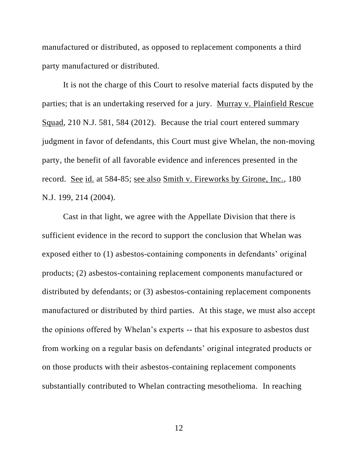manufactured or distributed, as opposed to replacement components a third party manufactured or distributed.

It is not the charge of this Court to resolve material facts disputed by the parties; that is an undertaking reserved for a jury. Murray v. Plainfield Rescue Squad, 210 N.J. 581, 584 (2012). Because the trial court entered summary judgment in favor of defendants, this Court must give Whelan, the non-moving party, the benefit of all favorable evidence and inferences presented in the record. See id. at 584-85; see also Smith v. Fireworks by Girone, Inc., 180 N.J. 199, 214 (2004).

Cast in that light, we agree with the Appellate Division that there is sufficient evidence in the record to support the conclusion that Whelan was exposed either to (1) asbestos-containing components in defendants' original products; (2) asbestos-containing replacement components manufactured or distributed by defendants; or (3) asbestos-containing replacement components manufactured or distributed by third parties. At this stage, we must also accept the opinions offered by Whelan's experts -- that his exposure to asbestos dust from working on a regular basis on defendants' original integrated products or on those products with their asbestos-containing replacement components substantially contributed to Whelan contracting mesothelioma. In reaching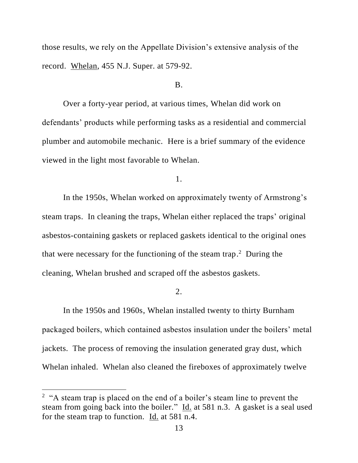those results, we rely on the Appellate Division's extensive analysis of the record. Whelan, 455 N.J. Super. at 579-92.

# B.

Over a forty-year period, at various times, Whelan did work on defendants' products while performing tasks as a residential and commercial plumber and automobile mechanic. Here is a brief summary of the evidence viewed in the light most favorable to Whelan.

1.

In the 1950s, Whelan worked on approximately twenty of Armstrong's steam traps. In cleaning the traps, Whelan either replaced the traps' original asbestos-containing gaskets or replaced gaskets identical to the original ones that were necessary for the functioning of the steam trap. 2 During the cleaning, Whelan brushed and scraped off the asbestos gaskets.

2.

In the 1950s and 1960s, Whelan installed twenty to thirty Burnham packaged boilers, which contained asbestos insulation under the boilers' metal jackets. The process of removing the insulation generated gray dust, which Whelan inhaled. Whelan also cleaned the fireboxes of approximately twelve

 $2$  "A steam trap is placed on the end of a boiler's steam line to prevent the steam from going back into the boiler." Id. at 581 n.3. A gasket is a seal used for the steam trap to function. Id. at 581 n.4.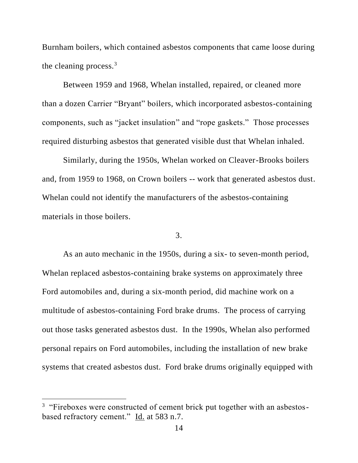Burnham boilers, which contained asbestos components that came loose during the cleaning process. $3$ 

Between 1959 and 1968, Whelan installed, repaired, or cleaned more than a dozen Carrier "Bryant" boilers, which incorporated asbestos-containing components, such as "jacket insulation" and "rope gaskets." Those processes required disturbing asbestos that generated visible dust that Whelan inhaled.

Similarly, during the 1950s, Whelan worked on Cleaver-Brooks boilers and, from 1959 to 1968, on Crown boilers -- work that generated asbestos dust. Whelan could not identify the manufacturers of the asbestos-containing materials in those boilers.

# 3.

As an auto mechanic in the 1950s, during a six- to seven-month period, Whelan replaced asbestos-containing brake systems on approximately three Ford automobiles and, during a six-month period, did machine work on a multitude of asbestos-containing Ford brake drums. The process of carrying out those tasks generated asbestos dust. In the 1990s, Whelan also performed personal repairs on Ford automobiles, including the installation of new brake systems that created asbestos dust. Ford brake drums originally equipped with

<sup>&</sup>lt;sup>3</sup> "Fireboxes were constructed of cement brick put together with an asbestosbased refractory cement." Id. at 583 n.7.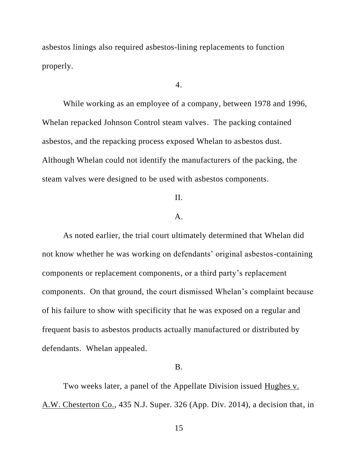asbestos linings also required asbestos-lining replacements to function properly.

4.

While working as an employee of a company, between 1978 and 1996, Whelan repacked Johnson Control steam valves. The packing contained asbestos, and the repacking process exposed Whelan to asbestos dust. Although Whelan could not identify the manufacturers of the packing, the steam valves were designed to be used with asbestos components.

# II.

#### A.

As noted earlier, the trial court ultimately determined that Whelan did not know whether he was working on defendants' original asbestos-containing components or replacement components, or a third party's replacement components. On that ground, the court dismissed Whelan's complaint because of his failure to show with specificity that he was exposed on a regular and frequent basis to asbestos products actually manufactured or distributed by defendants. Whelan appealed.

# B.

Two weeks later, a panel of the Appellate Division issued Hughes v. A.W. Chesterton Co., 435 N.J. Super. 326 (App. Div. 2014), a decision that, in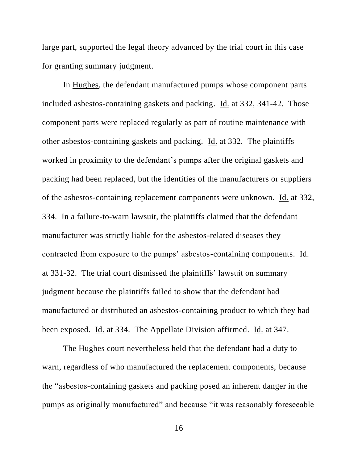large part, supported the legal theory advanced by the trial court in this case for granting summary judgment.

In Hughes, the defendant manufactured pumps whose component parts included asbestos-containing gaskets and packing. Id. at 332, 341-42. Those component parts were replaced regularly as part of routine maintenance with other asbestos-containing gaskets and packing. Id. at 332. The plaintiffs worked in proximity to the defendant's pumps after the original gaskets and packing had been replaced, but the identities of the manufacturers or suppliers of the asbestos-containing replacement components were unknown. Id. at 332, 334. In a failure-to-warn lawsuit, the plaintiffs claimed that the defendant manufacturer was strictly liable for the asbestos-related diseases they contracted from exposure to the pumps' asbestos-containing components. Id. at 331-32. The trial court dismissed the plaintiffs' lawsuit on summary judgment because the plaintiffs failed to show that the defendant had manufactured or distributed an asbestos-containing product to which they had been exposed. Id. at 334. The Appellate Division affirmed. Id. at 347.

The Hughes court nevertheless held that the defendant had a duty to warn, regardless of who manufactured the replacement components, because the "asbestos-containing gaskets and packing posed an inherent danger in the pumps as originally manufactured" and because "it was reasonably foreseeable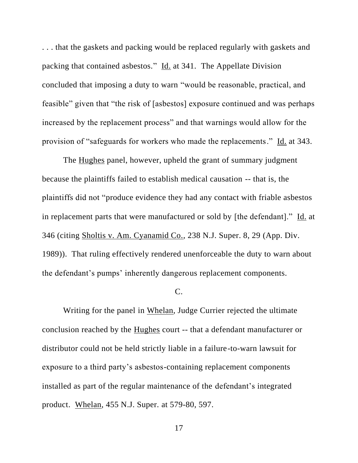. . . that the gaskets and packing would be replaced regularly with gaskets and packing that contained asbestos." Id. at 341. The Appellate Division concluded that imposing a duty to warn "would be reasonable, practical, and feasible" given that "the risk of [asbestos] exposure continued and was perhaps increased by the replacement process" and that warnings would allow for the provision of "safeguards for workers who made the replacements." Id. at 343.

The Hughes panel, however, upheld the grant of summary judgment because the plaintiffs failed to establish medical causation -- that is, the plaintiffs did not "produce evidence they had any contact with friable asbestos in replacement parts that were manufactured or sold by [the defendant]." Id. at 346 (citing Sholtis v. Am. Cyanamid Co., 238 N.J. Super. 8, 29 (App. Div. 1989)). That ruling effectively rendered unenforceable the duty to warn about the defendant's pumps' inherently dangerous replacement components.

#### C.

Writing for the panel in Whelan, Judge Currier rejected the ultimate conclusion reached by the Hughes court -- that a defendant manufacturer or distributor could not be held strictly liable in a failure-to-warn lawsuit for exposure to a third party's asbestos-containing replacement components installed as part of the regular maintenance of the defendant's integrated product. Whelan, 455 N.J. Super. at 579-80, 597.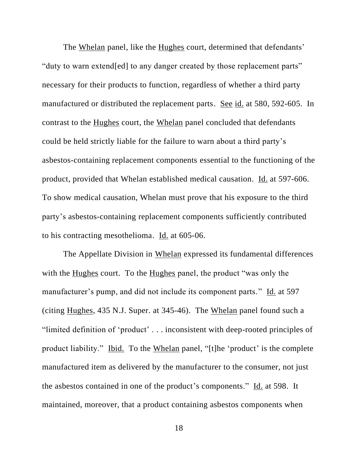The Whelan panel, like the Hughes court, determined that defendants' "duty to warn extend[ed] to any danger created by those replacement parts" necessary for their products to function, regardless of whether a third party manufactured or distributed the replacement parts. See id. at 580, 592-605. In contrast to the Hughes court, the Whelan panel concluded that defendants could be held strictly liable for the failure to warn about a third party's asbestos-containing replacement components essential to the functioning of the product, provided that Whelan established medical causation. Id. at 597-606. To show medical causation, Whelan must prove that his exposure to the third party's asbestos-containing replacement components sufficiently contributed to his contracting mesothelioma. Id. at 605-06.

The Appellate Division in Whelan expressed its fundamental differences with the Hughes court. To the Hughes panel, the product "was only the manufacturer's pump, and did not include its component parts." Id. at 597 (citing Hughes, 435 N.J. Super. at 345-46). The Whelan panel found such a "limited definition of 'product' . . . inconsistent with deep-rooted principles of product liability." Ibid. To the Whelan panel, "[t]he 'product' is the complete manufactured item as delivered by the manufacturer to the consumer, not just the asbestos contained in one of the product's components." Id. at 598. It maintained, moreover, that a product containing asbestos components when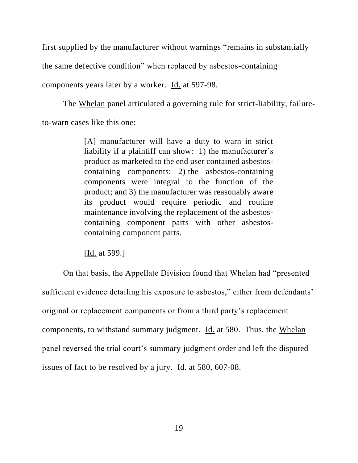first supplied by the manufacturer without warnings "remains in substantially the same defective condition" when replaced by asbestos-containing components years later by a worker. Id. at 597-98.

The Whelan panel articulated a governing rule for strict-liability, failureto-warn cases like this one:

> [A] manufacturer will have a duty to warn in strict liability if a plaintiff can show: 1) the manufacturer's product as marketed to the end user contained asbestoscontaining components; 2) the asbestos-containing components were integral to the function of the product; and 3) the manufacturer was reasonably aware its product would require periodic and routine maintenance involving the replacement of the asbestoscontaining component parts with other asbestoscontaining component parts.

[Id. at 599.]

On that basis, the Appellate Division found that Whelan had "presented sufficient evidence detailing his exposure to asbestos," either from defendants' original or replacement components or from a third party's replacement components, to withstand summary judgment. Id. at 580. Thus, the Whelan panel reversed the trial court's summary judgment order and left the disputed issues of fact to be resolved by a jury. Id. at 580, 607-08.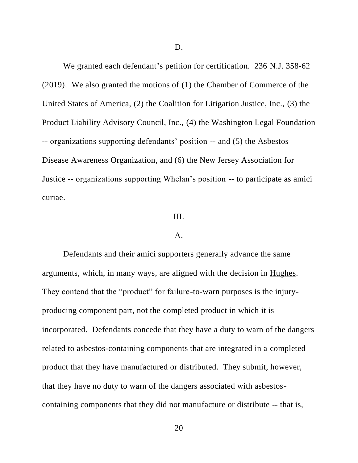We granted each defendant's petition for certification. 236 N.J. 358-62 (2019). We also granted the motions of (1) the Chamber of Commerce of the United States of America, (2) the Coalition for Litigation Justice, Inc., (3) the Product Liability Advisory Council, Inc., (4) the Washington Legal Foundation -- organizations supporting defendants' position -- and (5) the Asbestos Disease Awareness Organization, and (6) the New Jersey Association for Justice -- organizations supporting Whelan's position -- to participate as amici curiae.

# III.

# A.

Defendants and their amici supporters generally advance the same arguments, which, in many ways, are aligned with the decision in Hughes. They contend that the "product" for failure-to-warn purposes is the injuryproducing component part, not the completed product in which it is incorporated. Defendants concede that they have a duty to warn of the dangers related to asbestos-containing components that are integrated in a completed product that they have manufactured or distributed. They submit, however, that they have no duty to warn of the dangers associated with asbestoscontaining components that they did not manufacture or distribute -- that is,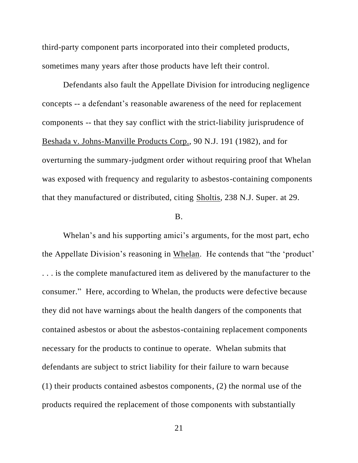third-party component parts incorporated into their completed products, sometimes many years after those products have left their control.

Defendants also fault the Appellate Division for introducing negligence concepts -- a defendant's reasonable awareness of the need for replacement components -- that they say conflict with the strict-liability jurisprudence of Beshada v. Johns-Manville Products Corp., 90 N.J. 191 (1982), and for overturning the summary-judgment order without requiring proof that Whelan was exposed with frequency and regularity to asbestos-containing components that they manufactured or distributed, citing Sholtis, 238 N.J. Super. at 29.

#### B.

Whelan's and his supporting amici's arguments, for the most part, echo the Appellate Division's reasoning in Whelan. He contends that "the 'product' . . . is the complete manufactured item as delivered by the manufacturer to the consumer." Here, according to Whelan, the products were defective because they did not have warnings about the health dangers of the components that contained asbestos or about the asbestos-containing replacement components necessary for the products to continue to operate. Whelan submits that defendants are subject to strict liability for their failure to warn because (1) their products contained asbestos components, (2) the normal use of the products required the replacement of those components with substantially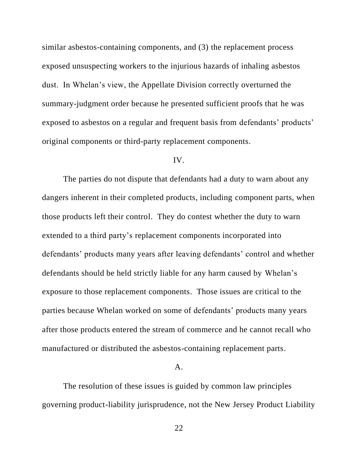similar asbestos-containing components, and (3) the replacement process exposed unsuspecting workers to the injurious hazards of inhaling asbestos dust. In Whelan's view, the Appellate Division correctly overturned the summary-judgment order because he presented sufficient proofs that he was exposed to asbestos on a regular and frequent basis from defendants' products' original components or third-party replacement components.

# IV.

The parties do not dispute that defendants had a duty to warn about any dangers inherent in their completed products, including component parts, when those products left their control. They do contest whether the duty to warn extended to a third party's replacement components incorporated into defendants' products many years after leaving defendants' control and whether defendants should be held strictly liable for any harm caused by Whelan's exposure to those replacement components. Those issues are critical to the parties because Whelan worked on some of defendants' products many years after those products entered the stream of commerce and he cannot recall who manufactured or distributed the asbestos-containing replacement parts.

#### A.

The resolution of these issues is guided by common law principles governing product-liability jurisprudence, not the New Jersey Product Liability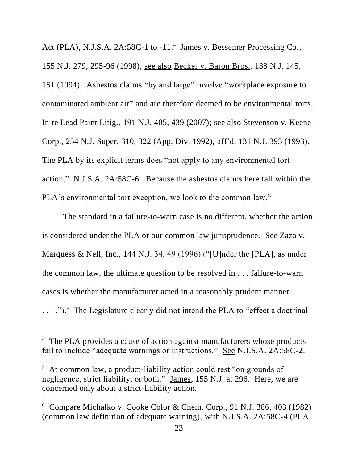Act (PLA), N.J.S.A. 2A:58C-1 to -11.<sup>4</sup> James v. Bessemer Processing Co., 155 N.J. 279, 295-96 (1998); see also Becker v. Baron Bros., 138 N.J. 145, 151 (1994). Asbestos claims "by and large" involve "workplace exposure to contaminated ambient air" and are therefore deemed to be environmental torts. In re Lead Paint Litig., 191 N.J. 405, 439 (2007); see also Stevenson v. Keene Corp., 254 N.J. Super. 310, 322 (App. Div. 1992), aff'd, 131 N.J. 393 (1993). The PLA by its explicit terms does "not apply to any environmental tort action." N.J.S.A. 2A:58C-6. Because the asbestos claims here fall within the PLA's environmental tort exception, we look to the common law.<sup>5</sup>

The standard in a failure-to-warn case is no different, whether the action is considered under the PLA or our common law jurisprudence. See Zaza v. Marquess & Nell, Inc., 144 N.J. 34, 49 (1996) ("[U]nder the [PLA], as under the common law, the ultimate question to be resolved in . . . failure-to-warn cases is whether the manufacturer acted in a reasonably prudent manner  $\dots$  .").<sup>6</sup> The Legislature clearly did not intend the PLA to "effect a doctrinal"

<sup>&</sup>lt;sup>4</sup> The PLA provides a cause of action against manufacturers whose products fail to include "adequate warnings or instructions." See N.J.S.A. 2A:58C-2.

<sup>&</sup>lt;sup>5</sup> At common law, a product-liability action could rest "on grounds of negligence, strict liability, or both." James, 155 N.J. at 296. Here, we are concerned only about a strict-liability action.

<sup>&</sup>lt;sup>6</sup> Compare Michalko v. Cooke Color & Chem. Corp., 91 N.J. 386, 403 (1982) (common law definition of adequate warning), with N.J.S.A. 2A:58C-4 (PLA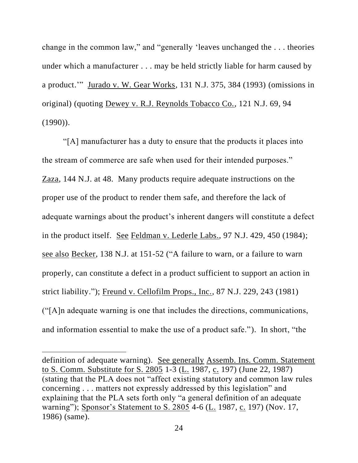change in the common law," and "generally 'leaves unchanged the . . . theories under which a manufacturer . . . may be held strictly liable for harm caused by a product.'" Jurado v. W. Gear Works, 131 N.J. 375, 384 (1993) (omissions in original) (quoting Dewey v. R.J. Reynolds Tobacco Co., 121 N.J. 69, 94  $(1990)$ ).

"[A] manufacturer has a duty to ensure that the products it places into the stream of commerce are safe when used for their intended purposes." Zaza, 144 N.J. at 48. Many products require adequate instructions on the proper use of the product to render them safe, and therefore the lack of adequate warnings about the product's inherent dangers will constitute a defect in the product itself. See Feldman v. Lederle Labs., 97 N.J. 429, 450 (1984); see also Becker, 138 N.J. at 151-52 ("A failure to warn, or a failure to warn properly, can constitute a defect in a product sufficient to support an action in strict liability."); Freund v. Cellofilm Props., Inc., 87 N.J. 229, 243 (1981) ("[A]n adequate warning is one that includes the directions, communications, and information essential to make the use of a product safe."). In short, "the

definition of adequate warning). See generally Assemb. Ins. Comm. Statement to S. Comm. Substitute for S. 2805 1-3 (L. 1987, c. 197) (June 22, 1987) (stating that the PLA does not "affect existing statutory and common law rules concerning . . . matters not expressly addressed by this legislation" and explaining that the PLA sets forth only "a general definition of an adequate warning"); Sponsor's Statement to S. 2805 4-6 (L. 1987, c. 197) (Nov. 17, 1986) (same).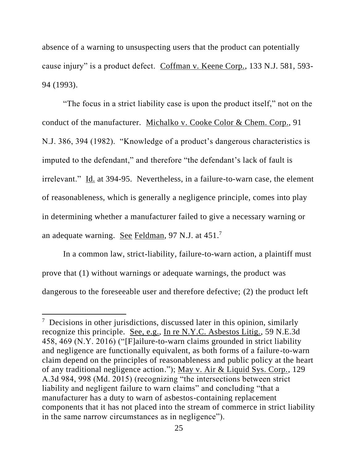absence of a warning to unsuspecting users that the product can potentially cause injury" is a product defect. Coffman v. Keene Corp., 133 N.J. 581, 593- 94 (1993).

"The focus in a strict liability case is upon the product itself," not on the conduct of the manufacturer. Michalko v. Cooke Color & Chem. Corp., 91 N.J. 386, 394 (1982). "Knowledge of a product's dangerous characteristics is imputed to the defendant," and therefore "the defendant's lack of fault is irrelevant." Id. at 394-95. Nevertheless, in a failure-to-warn case, the element of reasonableness, which is generally a negligence principle, comes into play in determining whether a manufacturer failed to give a necessary warning or an adequate warning. See Feldman, 97 N.J. at 451.<sup>7</sup>

In a common law, strict-liability, failure-to-warn action, a plaintiff must prove that (1) without warnings or adequate warnings, the product was dangerous to the foreseeable user and therefore defective; (2) the product left

<sup>&</sup>lt;sup>7</sup> Decisions in other jurisdictions, discussed later in this opinion, similarly recognize this principle. See, e.g., In re N.Y.C. Asbestos Litig., 59 N.E.3d 458, 469 (N.Y. 2016) ("[F]ailure-to-warn claims grounded in strict liability and negligence are functionally equivalent, as both forms of a failure-to-warn claim depend on the principles of reasonableness and public policy at the heart of any traditional negligence action."); May v. Air & Liquid Sys. Corp., 129 A.3d 984, 998 (Md. 2015) (recognizing "the intersections between strict liability and negligent failure to warn claims" and concluding "that a manufacturer has a duty to warn of asbestos-containing replacement components that it has not placed into the stream of commerce in strict liability in the same narrow circumstances as in negligence").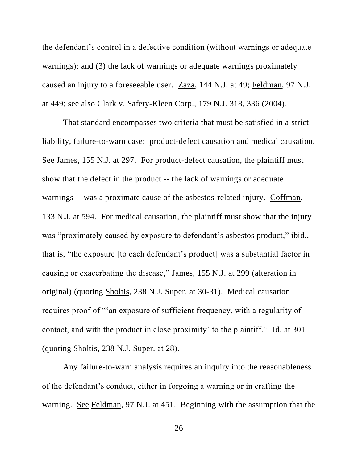the defendant's control in a defective condition (without warnings or adequate warnings); and (3) the lack of warnings or adequate warnings proximately caused an injury to a foreseeable user. Zaza, 144 N.J. at 49; Feldman, 97 N.J. at 449; see also Clark v. Safety-Kleen Corp., 179 N.J. 318, 336 (2004).

That standard encompasses two criteria that must be satisfied in a strictliability, failure-to-warn case: product-defect causation and medical causation. See James, 155 N.J. at 297. For product-defect causation, the plaintiff must show that the defect in the product -- the lack of warnings or adequate warnings -- was a proximate cause of the asbestos-related injury. Coffman, 133 N.J. at 594. For medical causation, the plaintiff must show that the injury was "proximately caused by exposure to defendant's asbestos product," ibid., that is, "the exposure [to each defendant's product] was a substantial factor in causing or exacerbating the disease," James, 155 N.J. at 299 (alteration in original) (quoting Sholtis, 238 N.J. Super. at 30-31). Medical causation requires proof of "'an exposure of sufficient frequency, with a regularity of contact, and with the product in close proximity' to the plaintiff." Id. at 301 (quoting Sholtis, 238 N.J. Super. at 28).

Any failure-to-warn analysis requires an inquiry into the reasonableness of the defendant's conduct, either in forgoing a warning or in crafting the warning. See Feldman, 97 N.J. at 451. Beginning with the assumption that the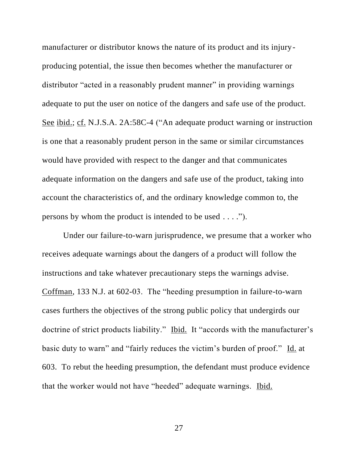manufacturer or distributor knows the nature of its product and its injuryproducing potential, the issue then becomes whether the manufacturer or distributor "acted in a reasonably prudent manner" in providing warnings adequate to put the user on notice of the dangers and safe use of the product. See ibid.; cf. N.J.S.A. 2A:58C-4 ("An adequate product warning or instruction is one that a reasonably prudent person in the same or similar circumstances would have provided with respect to the danger and that communicates adequate information on the dangers and safe use of the product, taking into account the characteristics of, and the ordinary knowledge common to, the persons by whom the product is intended to be used . . . .").

Under our failure-to-warn jurisprudence, we presume that a worker who receives adequate warnings about the dangers of a product will follow the instructions and take whatever precautionary steps the warnings advise. Coffman, 133 N.J. at 602-03. The "heeding presumption in failure-to-warn cases furthers the objectives of the strong public policy that undergirds our doctrine of strict products liability." Ibid. It "accords with the manufacturer's basic duty to warn" and "fairly reduces the victim's burden of proof." Id. at 603. To rebut the heeding presumption, the defendant must produce evidence that the worker would not have "heeded" adequate warnings. Ibid.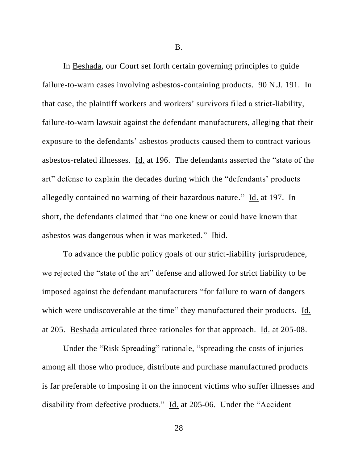B.

In Beshada, our Court set forth certain governing principles to guide failure-to-warn cases involving asbestos-containing products. 90 N.J. 191. In that case, the plaintiff workers and workers' survivors filed a strict-liability, failure-to-warn lawsuit against the defendant manufacturers, alleging that their exposure to the defendants' asbestos products caused them to contract various asbestos-related illnesses. Id. at 196. The defendants asserted the "state of the art" defense to explain the decades during which the "defendants' products allegedly contained no warning of their hazardous nature." Id. at 197. In short, the defendants claimed that "no one knew or could have known that asbestos was dangerous when it was marketed." Ibid.

To advance the public policy goals of our strict-liability jurisprudence, we rejected the "state of the art" defense and allowed for strict liability to be imposed against the defendant manufacturers "for failure to warn of dangers which were undiscoverable at the time" they manufactured their products. Id. at 205. Beshada articulated three rationales for that approach. Id. at 205-08.

Under the "Risk Spreading" rationale, "spreading the costs of injuries among all those who produce, distribute and purchase manufactured products is far preferable to imposing it on the innocent victims who suffer illnesses and disability from defective products." Id. at 205-06. Under the "Accident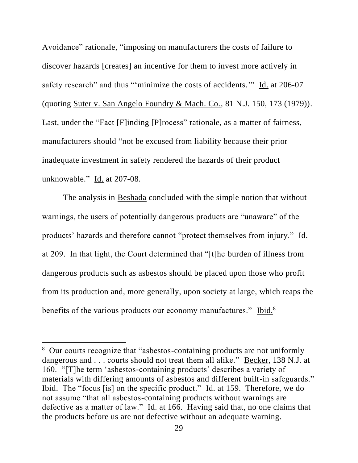Avoidance" rationale, "imposing on manufacturers the costs of failure to discover hazards [creates] an incentive for them to invest more actively in safety research" and thus "'minimize the costs of accidents." Id. at 206-07 (quoting Suter v. San Angelo Foundry & Mach. Co., 81 N.J. 150, 173 (1979)). Last, under the "Fact [F]inding [P]rocess" rationale, as a matter of fairness, manufacturers should "not be excused from liability because their prior inadequate investment in safety rendered the hazards of their product unknowable." Id. at 207-08.

The analysis in Beshada concluded with the simple notion that without warnings, the users of potentially dangerous products are "unaware" of the products' hazards and therefore cannot "protect themselves from injury." Id. at 209. In that light, the Court determined that "[t]he burden of illness from dangerous products such as asbestos should be placed upon those who profit from its production and, more generally, upon society at large, which reaps the benefits of the various products our economy manufactures." Ibid.<sup>8</sup>

<sup>&</sup>lt;sup>8</sup> Our courts recognize that "asbestos-containing products are not uniformly dangerous and . . . courts should not treat them all alike." Becker, 138 N.J. at 160. "[T]he term 'asbestos-containing products' describes a variety of materials with differing amounts of asbestos and different built-in safeguards." Ibid. The "focus [is] on the specific product." Id. at 159. Therefore, we do not assume "that all asbestos-containing products without warnings are defective as a matter of law." Id. at 166. Having said that, no one claims that the products before us are not defective without an adequate warning.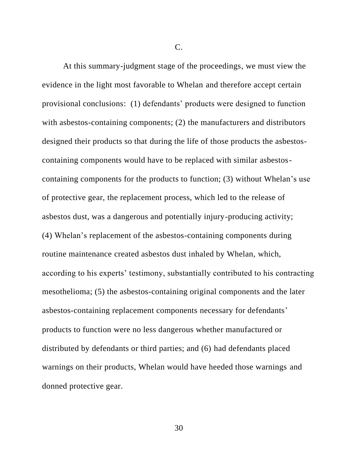C.

At this summary-judgment stage of the proceedings, we must view the evidence in the light most favorable to Whelan and therefore accept certain provisional conclusions: (1) defendants' products were designed to function with asbestos-containing components; (2) the manufacturers and distributors designed their products so that during the life of those products the asbestoscontaining components would have to be replaced with similar asbestoscontaining components for the products to function; (3) without Whelan's use of protective gear, the replacement process, which led to the release of asbestos dust, was a dangerous and potentially injury-producing activity; (4) Whelan's replacement of the asbestos-containing components during routine maintenance created asbestos dust inhaled by Whelan, which, according to his experts' testimony, substantially contributed to his contracting mesothelioma; (5) the asbestos-containing original components and the later asbestos-containing replacement components necessary for defendants' products to function were no less dangerous whether manufactured or distributed by defendants or third parties; and (6) had defendants placed warnings on their products, Whelan would have heeded those warnings and donned protective gear.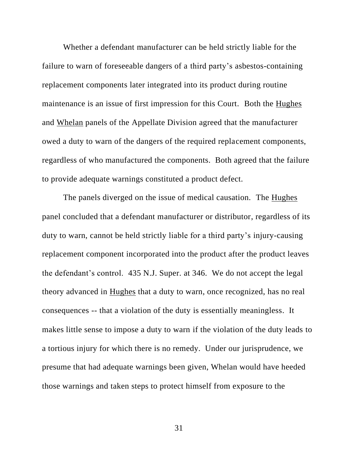Whether a defendant manufacturer can be held strictly liable for the failure to warn of foreseeable dangers of a third party's asbestos-containing replacement components later integrated into its product during routine maintenance is an issue of first impression for this Court. Both the Hughes and Whelan panels of the Appellate Division agreed that the manufacturer owed a duty to warn of the dangers of the required replacement components, regardless of who manufactured the components. Both agreed that the failure to provide adequate warnings constituted a product defect.

The panels diverged on the issue of medical causation. The Hughes panel concluded that a defendant manufacturer or distributor, regardless of its duty to warn, cannot be held strictly liable for a third party's injury-causing replacement component incorporated into the product after the product leaves the defendant's control. 435 N.J. Super. at 346. We do not accept the legal theory advanced in Hughes that a duty to warn, once recognized, has no real consequences -- that a violation of the duty is essentially meaningless. It makes little sense to impose a duty to warn if the violation of the duty leads to a tortious injury for which there is no remedy. Under our jurisprudence, we presume that had adequate warnings been given, Whelan would have heeded those warnings and taken steps to protect himself from exposure to the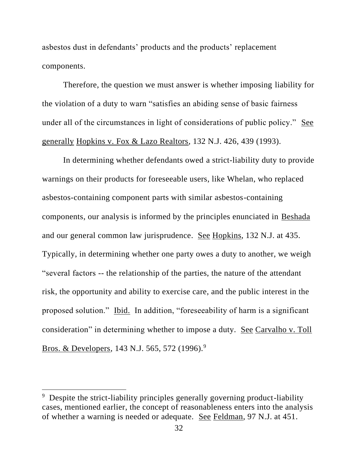asbestos dust in defendants' products and the products' replacement components.

Therefore, the question we must answer is whether imposing liability for the violation of a duty to warn "satisfies an abiding sense of basic fairness under all of the circumstances in light of considerations of public policy." See generally Hopkins v. Fox & Lazo Realtors, 132 N.J. 426, 439 (1993).

In determining whether defendants owed a strict-liability duty to provide warnings on their products for foreseeable users, like Whelan, who replaced asbestos-containing component parts with similar asbestos-containing components, our analysis is informed by the principles enunciated in Beshada and our general common law jurisprudence. See Hopkins, 132 N.J. at 435. Typically, in determining whether one party owes a duty to another, we weigh "several factors -- the relationship of the parties, the nature of the attendant risk, the opportunity and ability to exercise care, and the public interest in the proposed solution." Ibid. In addition, "foreseeability of harm is a significant consideration" in determining whether to impose a duty. See Carvalho v. Toll Bros. & Developers, 143 N.J. 565, 572 (1996).<sup>9</sup>

<sup>&</sup>lt;sup>9</sup> Despite the strict-liability principles generally governing product-liability cases, mentioned earlier, the concept of reasonableness enters into the analysis of whether a warning is needed or adequate. See Feldman, 97 N.J. at 451.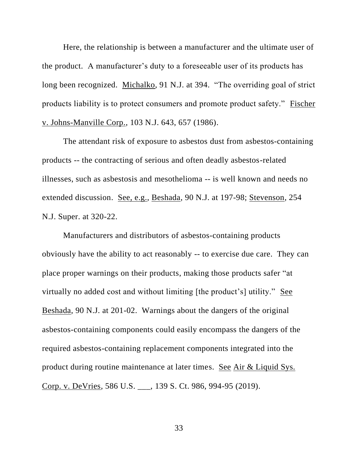Here, the relationship is between a manufacturer and the ultimate user of the product. A manufacturer's duty to a foreseeable user of its products has long been recognized. Michalko, 91 N.J. at 394. "The overriding goal of strict products liability is to protect consumers and promote product safety." Fischer v. Johns-Manville Corp., 103 N.J. 643, 657 (1986).

The attendant risk of exposure to asbestos dust from asbestos-containing products -- the contracting of serious and often deadly asbestos-related illnesses, such as asbestosis and mesothelioma -- is well known and needs no extended discussion. See, e.g., Beshada, 90 N.J. at 197-98; Stevenson, 254 N.J. Super. at 320-22.

Manufacturers and distributors of asbestos-containing products obviously have the ability to act reasonably -- to exercise due care. They can place proper warnings on their products, making those products safer "at virtually no added cost and without limiting [the product's] utility." See Beshada, 90 N.J. at 201-02. Warnings about the dangers of the original asbestos-containing components could easily encompass the dangers of the required asbestos-containing replacement components integrated into the product during routine maintenance at later times. See Air & Liquid Sys. Corp. v. DeVries, 586 U.S. \_\_\_, 139 S. Ct. 986, 994-95 (2019).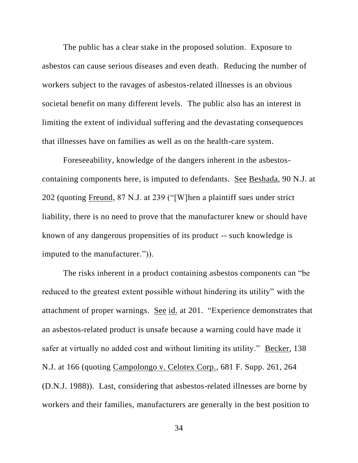The public has a clear stake in the proposed solution. Exposure to asbestos can cause serious diseases and even death. Reducing the number of workers subject to the ravages of asbestos-related illnesses is an obvious societal benefit on many different levels. The public also has an interest in limiting the extent of individual suffering and the devastating consequences that illnesses have on families as well as on the health-care system.

Foreseeability, knowledge of the dangers inherent in the asbestoscontaining components here, is imputed to defendants. See Beshada, 90 N.J. at 202 (quoting Freund, 87 N.J. at 239 ("[W]hen a plaintiff sues under strict liability, there is no need to prove that the manufacturer knew or should have known of any dangerous propensities of its product -- such knowledge is imputed to the manufacturer.")).

The risks inherent in a product containing asbestos components can "be reduced to the greatest extent possible without hindering its utility" with the attachment of proper warnings. See id. at 201. "Experience demonstrates that an asbestos-related product is unsafe because a warning could have made it safer at virtually no added cost and without limiting its utility." Becker, 138 N.J. at 166 (quoting Campolongo v. Celotex Corp., 681 F. Supp. 261, 264 (D.N.J. 1988)). Last, considering that asbestos-related illnesses are borne by workers and their families, manufacturers are generally in the best position to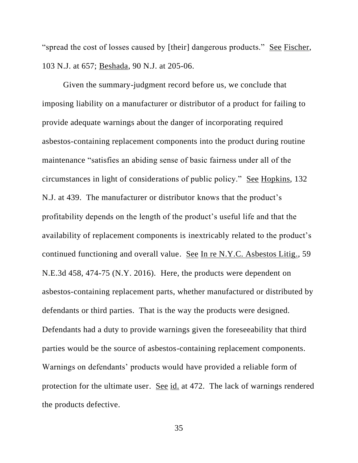"spread the cost of losses caused by [their] dangerous products." See Fischer, 103 N.J. at 657; Beshada, 90 N.J. at 205-06.

Given the summary-judgment record before us, we conclude that imposing liability on a manufacturer or distributor of a product for failing to provide adequate warnings about the danger of incorporating required asbestos-containing replacement components into the product during routine maintenance "satisfies an abiding sense of basic fairness under all of the circumstances in light of considerations of public policy." See Hopkins, 132 N.J. at 439. The manufacturer or distributor knows that the product's profitability depends on the length of the product's useful life and that the availability of replacement components is inextricably related to the product's continued functioning and overall value. See In re N.Y.C. Asbestos Litig., 59 N.E.3d 458, 474-75 (N.Y. 2016). Here, the products were dependent on asbestos-containing replacement parts, whether manufactured or distributed by defendants or third parties. That is the way the products were designed. Defendants had a duty to provide warnings given the foreseeability that third parties would be the source of asbestos-containing replacement components. Warnings on defendants' products would have provided a reliable form of protection for the ultimate user. See id. at 472. The lack of warnings rendered the products defective.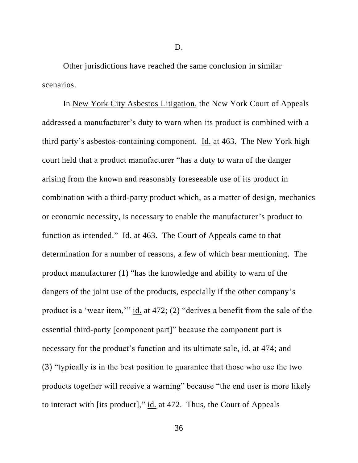D.

Other jurisdictions have reached the same conclusion in similar scenarios.

In New York City Asbestos Litigation, the New York Court of Appeals addressed a manufacturer's duty to warn when its product is combined with a third party's asbestos-containing component. Id. at 463. The New York high court held that a product manufacturer "has a duty to warn of the danger arising from the known and reasonably foreseeable use of its product in combination with a third-party product which, as a matter of design, mechanics or economic necessity, is necessary to enable the manufacturer's product to function as intended." Id. at 463. The Court of Appeals came to that determination for a number of reasons, a few of which bear mentioning. The product manufacturer (1) "has the knowledge and ability to warn of the dangers of the joint use of the products, especially if the other company's product is a 'wear item,'" id. at 472; (2) "derives a benefit from the sale of the essential third-party [component part]" because the component part is necessary for the product's function and its ultimate sale, id. at 474; and (3) "typically is in the best position to guarantee that those who use the two products together will receive a warning" because "the end user is more likely to interact with [its product]," id. at 472. Thus, the Court of Appeals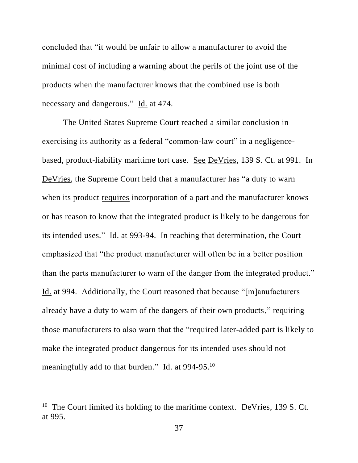concluded that "it would be unfair to allow a manufacturer to avoid the minimal cost of including a warning about the perils of the joint use of the products when the manufacturer knows that the combined use is both necessary and dangerous." Id. at 474.

The United States Supreme Court reached a similar conclusion in exercising its authority as a federal "common-law court" in a negligencebased, product-liability maritime tort case. See DeVries, 139 S. Ct. at 991. In DeVries, the Supreme Court held that a manufacturer has "a duty to warn when its product requires incorporation of a part and the manufacturer knows or has reason to know that the integrated product is likely to be dangerous for its intended uses." Id. at 993-94. In reaching that determination, the Court emphasized that "the product manufacturer will often be in a better position than the parts manufacturer to warn of the danger from the integrated product." Id. at 994. Additionally, the Court reasoned that because "[m]anufacturers already have a duty to warn of the dangers of their own products," requiring those manufacturers to also warn that the "required later-added part is likely to make the integrated product dangerous for its intended uses should not meaningfully add to that burden." Id. at 994-95.<sup>10</sup>

<sup>&</sup>lt;sup>10</sup> The Court limited its holding to the maritime context. **DeVries**, 139 S. Ct. at 995.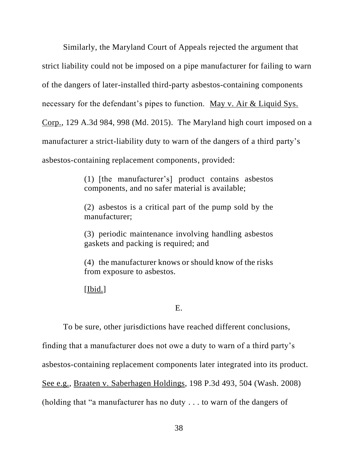Similarly, the Maryland Court of Appeals rejected the argument that strict liability could not be imposed on a pipe manufacturer for failing to warn of the dangers of later-installed third-party asbestos-containing components necessary for the defendant's pipes to function. May v. Air & Liquid Sys. Corp., 129 A.3d 984, 998 (Md. 2015). The Maryland high court imposed on a manufacturer a strict-liability duty to warn of the dangers of a third party's asbestos-containing replacement components, provided:

> (1) [the manufacturer's] product contains asbestos components, and no safer material is available;

> (2) asbestos is a critical part of the pump sold by the manufacturer;

> (3) periodic maintenance involving handling asbestos gaskets and packing is required; and

> (4) the manufacturer knows or should know of the risks from exposure to asbestos.

[Ibid.]

# E.

To be sure, other jurisdictions have reached different conclusions,

finding that a manufacturer does not owe a duty to warn of a third party's

asbestos-containing replacement components later integrated into its product.

See e.g., Braaten v. Saberhagen Holdings, 198 P.3d 493, 504 (Wash. 2008)

(holding that "a manufacturer has no duty . . . to warn of the dangers of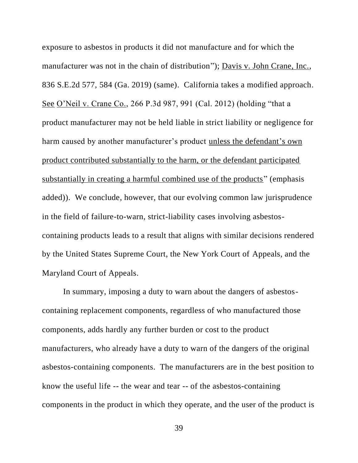exposure to asbestos in products it did not manufacture and for which the manufacturer was not in the chain of distribution"); Davis v. John Crane, Inc., 836 S.E.2d 577, 584 (Ga. 2019) (same). California takes a modified approach. See O'Neil v. Crane Co., 266 P.3d 987, 991 (Cal. 2012) (holding "that a product manufacturer may not be held liable in strict liability or negligence for harm caused by another manufacturer's product unless the defendant's own product contributed substantially to the harm, or the defendant participated substantially in creating a harmful combined use of the products" (emphasis added)). We conclude, however, that our evolving common law jurisprudence in the field of failure-to-warn, strict-liability cases involving asbestoscontaining products leads to a result that aligns with similar decisions rendered by the United States Supreme Court, the New York Court of Appeals, and the Maryland Court of Appeals.

In summary, imposing a duty to warn about the dangers of asbestoscontaining replacement components, regardless of who manufactured those components, adds hardly any further burden or cost to the product manufacturers, who already have a duty to warn of the dangers of the original asbestos-containing components. The manufacturers are in the best position to know the useful life -- the wear and tear -- of the asbestos-containing components in the product in which they operate, and the user of the product is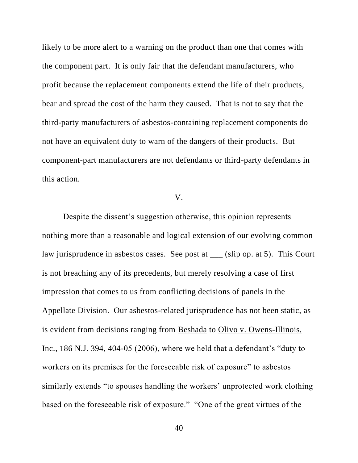likely to be more alert to a warning on the product than one that comes with the component part. It is only fair that the defendant manufacturers, who profit because the replacement components extend the life of their products, bear and spread the cost of the harm they caused. That is not to say that the third-party manufacturers of asbestos-containing replacement components do not have an equivalent duty to warn of the dangers of their products. But component-part manufacturers are not defendants or third-party defendants in this action.

# V.

Despite the dissent's suggestion otherwise, this opinion represents nothing more than a reasonable and logical extension of our evolving common law jurisprudence in asbestos cases. See post at \_\_\_ (slip op. at 5). This Court is not breaching any of its precedents, but merely resolving a case of first impression that comes to us from conflicting decisions of panels in the Appellate Division. Our asbestos-related jurisprudence has not been static, as is evident from decisions ranging from Beshada to Olivo v. Owens-Illinois, Inc., 186 N.J. 394, 404-05 (2006), where we held that a defendant's "duty to workers on its premises for the foreseeable risk of exposure" to asbestos similarly extends "to spouses handling the workers' unprotected work clothing based on the foreseeable risk of exposure." "One of the great virtues of the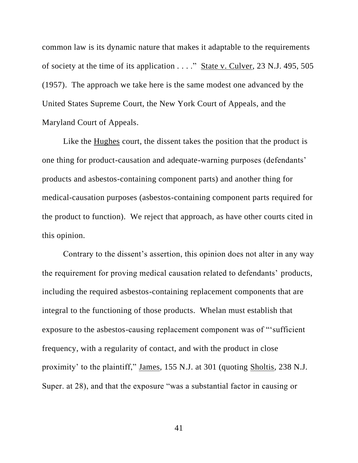common law is its dynamic nature that makes it adaptable to the requirements of society at the time of its application . . . ." State v. Culver, 23 N.J. 495, 505 (1957). The approach we take here is the same modest one advanced by the United States Supreme Court, the New York Court of Appeals, and the Maryland Court of Appeals.

Like the Hughes court, the dissent takes the position that the product is one thing for product-causation and adequate-warning purposes (defendants' products and asbestos-containing component parts) and another thing for medical-causation purposes (asbestos-containing component parts required for the product to function). We reject that approach, as have other courts cited in this opinion.

Contrary to the dissent's assertion, this opinion does not alter in any way the requirement for proving medical causation related to defendants' products, including the required asbestos-containing replacement components that are integral to the functioning of those products. Whelan must establish that exposure to the asbestos-causing replacement component was of "'sufficient frequency, with a regularity of contact, and with the product in close proximity' to the plaintiff," James, 155 N.J. at 301 (quoting Sholtis, 238 N.J. Super. at 28), and that the exposure "was a substantial factor in causing or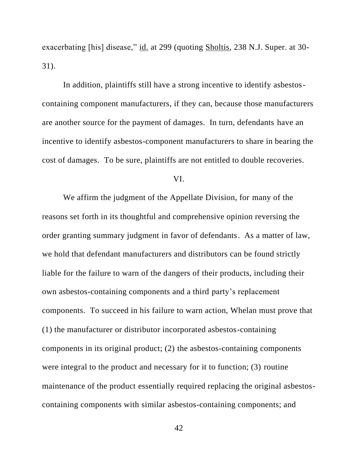exacerbating [his] disease," id. at 299 (quoting Sholtis, 238 N.J. Super. at 30- 31).

In addition, plaintiffs still have a strong incentive to identify asbestoscontaining component manufacturers, if they can, because those manufacturers are another source for the payment of damages. In turn, defendants have an incentive to identify asbestos-component manufacturers to share in bearing the cost of damages. To be sure, plaintiffs are not entitled to double recoveries.

#### VI.

We affirm the judgment of the Appellate Division, for many of the reasons set forth in its thoughtful and comprehensive opinion reversing the order granting summary judgment in favor of defendants. As a matter of law, we hold that defendant manufacturers and distributors can be found strictly liable for the failure to warn of the dangers of their products, including their own asbestos-containing components and a third party's replacement components. To succeed in his failure to warn action, Whelan must prove that (1) the manufacturer or distributor incorporated asbestos-containing components in its original product; (2) the asbestos-containing components were integral to the product and necessary for it to function; (3) routine maintenance of the product essentially required replacing the original asbestoscontaining components with similar asbestos-containing components; and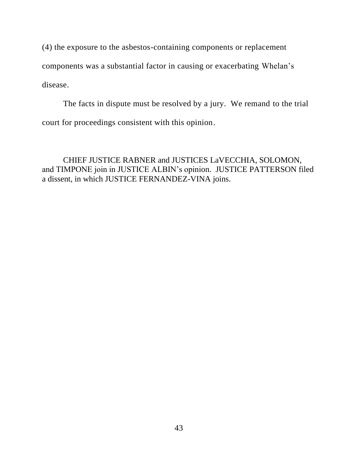(4) the exposure to the asbestos-containing components or replacement components was a substantial factor in causing or exacerbating Whelan's disease.

The facts in dispute must be resolved by a jury. We remand to the trial court for proceedings consistent with this opinion.

CHIEF JUSTICE RABNER and JUSTICES LaVECCHIA, SOLOMON, and TIMPONE join in JUSTICE ALBIN's opinion. JUSTICE PATTERSON filed a dissent, in which JUSTICE FERNANDEZ-VINA joins.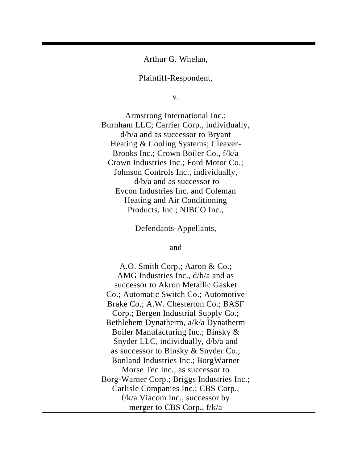Arthur G. Whelan,

Plaintiff-Respondent,

v.

Armstrong International Inc.; Burnham LLC; Carrier Corp., individually, d/b/a and as successor to Bryant Heating & Cooling Systems; Cleaver-Brooks Inc.; Crown Boiler Co., f/k/a Crown Industries Inc.; Ford Motor Co.; Johnson Controls Inc., individually, d/b/a and as successor to Evcon Industries Inc. and Coleman Heating and Air Conditioning Products, Inc.; NIBCO Inc.,

Defendants-Appellants,

and

A.O. Smith Corp.; Aaron & Co.; AMG Industries Inc., d/b/a and as successor to Akron Metallic Gasket Co.; Automatic Switch Co.; Automotive Brake Co.; A.W. Chesterton Co.; BASF Corp.; Bergen Industrial Supply Co.; Bethlehem Dynatherm, a/k/a Dynatherm Boiler Manufacturing Inc.; Binsky & Snyder LLC, individually, d/b/a and as successor to Binsky & Snyder Co.; Bonland Industries Inc.; BorgWarner Morse Tec Inc., as successor to Borg-Warner Corp.; Briggs Industries Inc.; Carlisle Companies Inc.; CBS Corp., f/k/a Viacom Inc., successor by merger to CBS Corp., f/k/a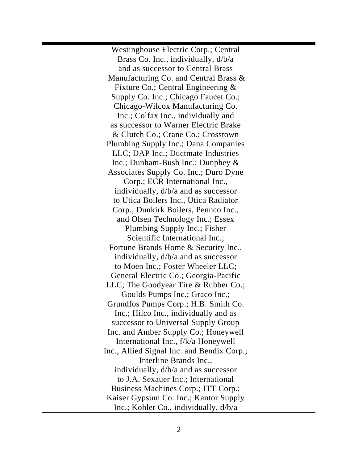Westinghouse Electric Corp.; Central Brass Co. Inc., individually, d/b/a and as successor to Central Brass Manufacturing Co. and Central Brass & Fixture Co.; Central Engineering & Supply Co. Inc.; Chicago Faucet Co.; Chicago-Wilcox Manufacturing Co. Inc.; Colfax Inc., individually and as successor to Warner Electric Brake & Clutch Co.; Crane Co.; Crosstown Plumbing Supply Inc.; Dana Companies LLC; DAP Inc.; Ductmate Industries Inc.; Dunham-Bush Inc.; Dunphey & Associates Supply Co. Inc.; Duro Dyne Corp.; ECR International Inc., individually, d/b/a and as successor to Utica Boilers Inc., Utica Radiator Corp., Dunkirk Boilers, Pennco Inc., and Olsen Technology Inc.; Essex Plumbing Supply Inc.; Fisher Scientific International Inc.; Fortune Brands Home & Security Inc., individually, d/b/a and as successor to Moen Inc.; Foster Wheeler LLC; General Electric Co.; Georgia-Pacific LLC; The Goodyear Tire & Rubber Co.; Goulds Pumps Inc.; Graco Inc.; Grundfos Pumps Corp.; H.B. Smith Co. Inc.; Hilco Inc., individually and as successor to Universal Supply Group Inc. and Amber Supply Co.; Honeywell International Inc., f/k/a Honeywell Inc., Allied Signal Inc. and Bendix Corp.; Interline Brands Inc., individually, d/b/a and as successor to J.A. Sexauer Inc.; International Business Machines Corp.; ITT Corp.; Kaiser Gypsum Co. Inc.; Kantor Supply Inc.; Kohler Co., individually, d/b/a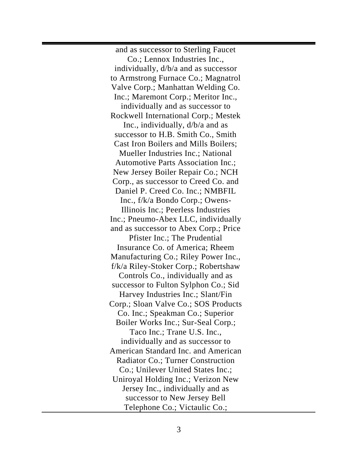and as successor to Sterling Faucet Co.; Lennox Industries Inc., individually, d/b/a and as successor to Armstrong Furnace Co.; Magnatrol Valve Corp.; Manhattan Welding Co. Inc.; Maremont Corp.; Meritor Inc., individually and as successor to Rockwell International Corp.; Mestek Inc., individually, d/b/a and as successor to H.B. Smith Co., Smith Cast Iron Boilers and Mills Boilers; Mueller Industries Inc.; National Automotive Parts Association Inc.; New Jersey Boiler Repair Co.; NCH Corp., as successor to Creed Co. and Daniel P. Creed Co. Inc.; NMBFIL Inc., f/k/a Bondo Corp.; Owens-Illinois Inc.; Peerless Industries Inc.; Pneumo-Abex LLC, individually and as successor to Abex Corp.; Price Pfister Inc.; The Prudential Insurance Co. of America; Rheem Manufacturing Co.; Riley Power Inc., f/k/a Riley-Stoker Corp.; Robertshaw Controls Co., individually and as successor to Fulton Sylphon Co.; Sid Harvey Industries Inc.; Slant/Fin Corp.; Sloan Valve Co.; SOS Products Co. Inc.; Speakman Co.; Superior Boiler Works Inc.; Sur-Seal Corp.; Taco Inc.; Trane U.S. Inc., individually and as successor to American Standard Inc. and American Radiator Co.; Turner Construction Co.; Unilever United States Inc.; Uniroyal Holding Inc.; Verizon New Jersey Inc., individually and as successor to New Jersey Bell Telephone Co.; Victaulic Co.;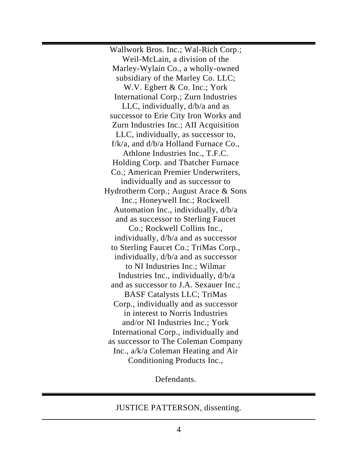Wallwork Bros. Inc.; Wal-Rich Corp.; Weil-McLain, a division of the Marley-Wylain Co., a wholly-owned subsidiary of the Marley Co. LLC; W.V. Egbert & Co. Inc.; York International Corp.; Zurn Industries LLC, individually, d/b/a and as successor to Erie City Iron Works and Zurn Industries Inc.; AII Acquisition LLC, individually, as successor to,  $f/k/a$ , and  $d/b/a$  Holland Furnace Co., Athlone Industries Inc., T.F.C. Holding Corp. and Thatcher Furnace Co.; American Premier Underwriters, individually and as successor to Hydrotherm Corp.; August Arace & Sons Inc.; Honeywell Inc.; Rockwell Automation Inc., individually, d/b/a and as successor to Sterling Faucet Co.; Rockwell Collins Inc., individually, d/b/a and as successor to Sterling Faucet Co.; TriMas Corp., individually, d/b/a and as successor to NI Industries Inc.; Wilmar Industries Inc., individually, d/b/a and as successor to J.A. Sexauer Inc.; BASF Catalysts LLC; TriMas Corp., individually and as successor in interest to Norris Industries and/or NI Industries Inc.; York International Corp., individually and as successor to The Coleman Company Inc., a/k/a Coleman Heating and Air Conditioning Products Inc.,

Defendants.

JUSTICE PATTERSON, dissenting.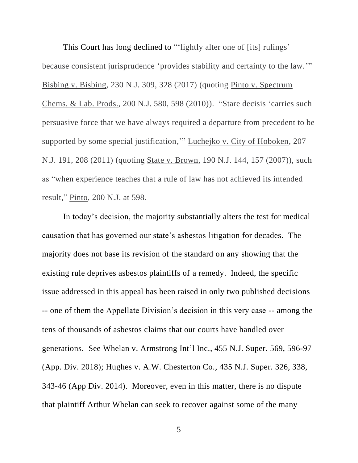This Court has long declined to "'lightly alter one of [its] rulings' because consistent jurisprudence 'provides stability and certainty to the law.'" Bisbing v. Bisbing, 230 N.J. 309, 328 (2017) (quoting Pinto v. Spectrum Chems. & Lab. Prods., 200 N.J. 580, 598 (2010)). "Stare decisis 'carries such persuasive force that we have always required a departure from precedent to be supported by some special justification,'" Luchejko v. City of Hoboken, 207 N.J. 191, 208 (2011) (quoting State v. Brown, 190 N.J. 144, 157 (2007)), such as "when experience teaches that a rule of law has not achieved its intended result," Pinto, 200 N.J. at 598.

In today's decision, the majority substantially alters the test for medical causation that has governed our state's asbestos litigation for decades. The majority does not base its revision of the standard on any showing that the existing rule deprives asbestos plaintiffs of a remedy. Indeed, the specific issue addressed in this appeal has been raised in only two published decisions -- one of them the Appellate Division's decision in this very case -- among the tens of thousands of asbestos claims that our courts have handled over generations. See Whelan v. Armstrong Int'l Inc., 455 N.J. Super. 569, 596-97 (App. Div. 2018); Hughes v. A.W. Chesterton Co., 435 N.J. Super. 326, 338, 343-46 (App Div. 2014). Moreover, even in this matter, there is no dispute that plaintiff Arthur Whelan can seek to recover against some of the many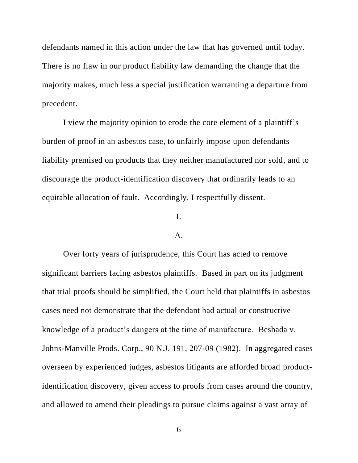defendants named in this action under the law that has governed until today. There is no flaw in our product liability law demanding the change that the majority makes, much less a special justification warranting a departure from precedent.

I view the majority opinion to erode the core element of a plaintiff's burden of proof in an asbestos case, to unfairly impose upon defendants liability premised on products that they neither manufactured nor sold, and to discourage the product-identification discovery that ordinarily leads to an equitable allocation of fault. Accordingly, I respectfully dissent.

# I.

#### A.

Over forty years of jurisprudence, this Court has acted to remove significant barriers facing asbestos plaintiffs. Based in part on its judgment that trial proofs should be simplified, the Court held that plaintiffs in asbestos cases need not demonstrate that the defendant had actual or constructive knowledge of a product's dangers at the time of manufacture. Beshada v. Johns-Manville Prods. Corp., 90 N.J. 191, 207-09 (1982). In aggregated cases overseen by experienced judges, asbestos litigants are afforded broad productidentification discovery, given access to proofs from cases around the country, and allowed to amend their pleadings to pursue claims against a vast array of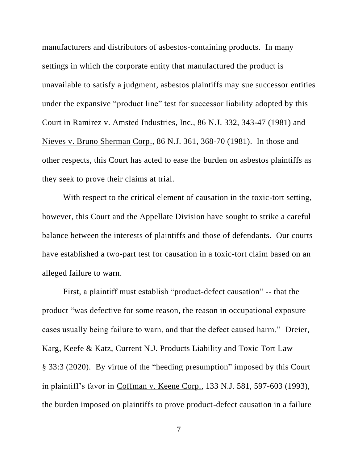manufacturers and distributors of asbestos-containing products. In many settings in which the corporate entity that manufactured the product is unavailable to satisfy a judgment, asbestos plaintiffs may sue successor entities under the expansive "product line" test for successor liability adopted by this Court in Ramirez v. Amsted Industries, Inc., 86 N.J. 332, 343-47 (1981) and Nieves v. Bruno Sherman Corp., 86 N.J. 361, 368-70 (1981). In those and other respects, this Court has acted to ease the burden on asbestos plaintiffs as they seek to prove their claims at trial.

With respect to the critical element of causation in the toxic-tort setting, however, this Court and the Appellate Division have sought to strike a careful balance between the interests of plaintiffs and those of defendants. Our courts have established a two-part test for causation in a toxic-tort claim based on an alleged failure to warn.

First, a plaintiff must establish "product-defect causation" -- that the product "was defective for some reason, the reason in occupational exposure cases usually being failure to warn, and that the defect caused harm." Dreier, Karg, Keefe & Katz, Current N.J. Products Liability and Toxic Tort Law § 33:3 (2020). By virtue of the "heeding presumption" imposed by this Court in plaintiff's favor in Coffman v. Keene Corp., 133 N.J. 581, 597-603 (1993), the burden imposed on plaintiffs to prove product-defect causation in a failure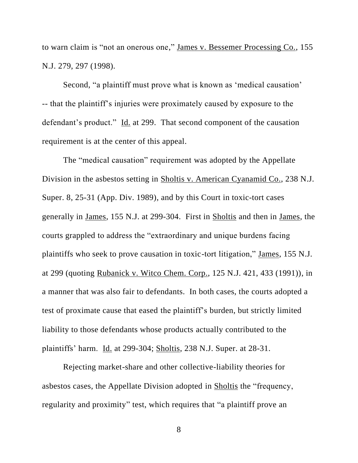to warn claim is "not an onerous one," James v. Bessemer Processing Co., 155 N.J. 279, 297 (1998).

Second, "a plaintiff must prove what is known as 'medical causation' -- that the plaintiff's injuries were proximately caused by exposure to the defendant's product." Id. at 299. That second component of the causation requirement is at the center of this appeal.

The "medical causation" requirement was adopted by the Appellate Division in the asbestos setting in Sholtis v. American Cyanamid Co., 238 N.J. Super. 8, 25-31 (App. Div. 1989), and by this Court in toxic-tort cases generally in James, 155 N.J. at 299-304. First in Sholtis and then in James, the courts grappled to address the "extraordinary and unique burdens facing plaintiffs who seek to prove causation in toxic-tort litigation," James, 155 N.J. at 299 (quoting Rubanick v. Witco Chem. Corp., 125 N.J. 421, 433 (1991)), in a manner that was also fair to defendants. In both cases, the courts adopted a test of proximate cause that eased the plaintiff's burden, but strictly limited liability to those defendants whose products actually contributed to the plaintiffs' harm. Id. at 299-304; Sholtis, 238 N.J. Super. at 28-31.

Rejecting market-share and other collective-liability theories for asbestos cases, the Appellate Division adopted in Sholtis the "frequency, regularity and proximity" test, which requires that "a plaintiff prove an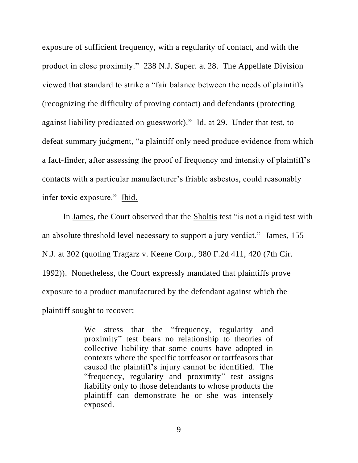exposure of sufficient frequency, with a regularity of contact, and with the product in close proximity." 238 N.J. Super. at 28. The Appellate Division viewed that standard to strike a "fair balance between the needs of plaintiffs (recognizing the difficulty of proving contact) and defendants (protecting against liability predicated on guesswork)." Id. at 29. Under that test, to defeat summary judgment, "a plaintiff only need produce evidence from which a fact-finder, after assessing the proof of frequency and intensity of plaintiff's contacts with a particular manufacturer's friable asbestos, could reasonably infer toxic exposure." Ibid.

In James, the Court observed that the Sholtis test "is not a rigid test with an absolute threshold level necessary to support a jury verdict." James, 155 N.J. at 302 (quoting Tragarz v. Keene Corp., 980 F.2d 411, 420 (7th Cir. 1992)). Nonetheless, the Court expressly mandated that plaintiffs prove exposure to a product manufactured by the defendant against which the plaintiff sought to recover:

> We stress that the "frequency, regularity and proximity" test bears no relationship to theories of collective liability that some courts have adopted in contexts where the specific tortfeasor or tortfeasors that caused the plaintiff's injury cannot be identified. The "frequency, regularity and proximity" test assigns liability only to those defendants to whose products the plaintiff can demonstrate he or she was intensely exposed.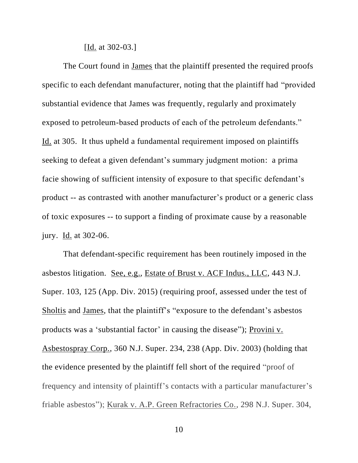[Id. at 302-03.]

The Court found in James that the plaintiff presented the required proofs specific to each defendant manufacturer, noting that the plaintiff had "provided substantial evidence that James was frequently, regularly and proximately exposed to petroleum-based products of each of the petroleum defendants." Id. at 305. It thus upheld a fundamental requirement imposed on plaintiffs seeking to defeat a given defendant's summary judgment motion: a prima facie showing of sufficient intensity of exposure to that specific defendant's product -- as contrasted with another manufacturer's product or a generic class of toxic exposures -- to support a finding of proximate cause by a reasonable jury. Id. at 302-06.

That defendant-specific requirement has been routinely imposed in the asbestos litigation. See, e.g., Estate of Brust v. ACF Indus., LLC, 443 N.J. Super. 103, 125 (App. Div. 2015) (requiring proof, assessed under the test of Sholtis and James, that the plaintiff's "exposure to the defendant's asbestos products was a 'substantial factor' in causing the disease"); Provini v. Asbestospray Corp., 360 N.J. Super. 234, 238 (App. Div. 2003) (holding that the evidence presented by the plaintiff fell short of the required "proof of frequency and intensity of plaintiff's contacts with a particular manufacturer's friable asbestos"); Kurak v. A.P. Green Refractories Co., 298 N.J. Super. 304,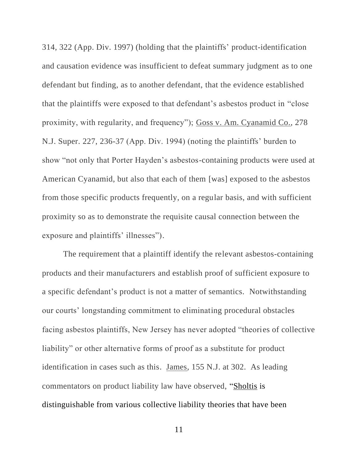314, 322 (App. Div. 1997) (holding that the plaintiffs' product-identification and causation evidence was insufficient to defeat summary judgment as to one defendant but finding, as to another defendant, that the evidence established that the plaintiffs were exposed to that defendant's asbestos product in "close proximity, with regularity, and frequency"); Goss v. Am. Cyanamid Co., 278 N.J. Super. 227, 236-37 (App. Div. 1994) (noting the plaintiffs' burden to show "not only that Porter Hayden's asbestos-containing products were used at American Cyanamid, but also that each of them [was] exposed to the asbestos from those specific products frequently, on a regular basis, and with sufficient proximity so as to demonstrate the requisite causal connection between the exposure and plaintiffs' illnesses").

The requirement that a plaintiff identify the relevant asbestos-containing products and their manufacturers and establish proof of sufficient exposure to a specific defendant's product is not a matter of semantics. Notwithstanding our courts' longstanding commitment to eliminating procedural obstacles facing asbestos plaintiffs, New Jersey has never adopted "theories of collective liability" or other alternative forms of proof as a substitute for product identification in cases such as this. James, 155 N.J. at 302. As leading commentators on product liability law have observed, "Sholtis is distinguishable from various collective liability theories that have been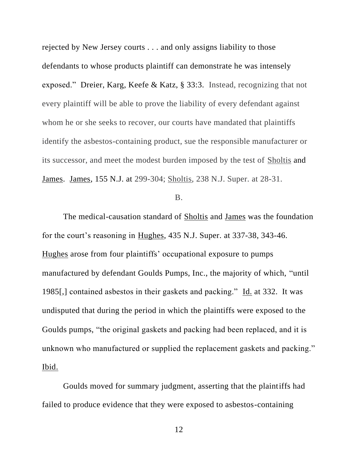rejected by New Jersey courts . . . and only assigns liability to those defendants to whose products plaintiff can demonstrate he was intensely exposed." Dreier, Karg, Keefe & Katz, § 33:3. Instead, recognizing that not every plaintiff will be able to prove the liability of every defendant against whom he or she seeks to recover, our courts have mandated that plaintiffs identify the asbestos-containing product, sue the responsible manufacturer or its successor, and meet the modest burden imposed by the test of Sholtis and James. James, 155 N.J. at 299-304; Sholtis, 238 N.J. Super. at 28-31.

# B.

The medical-causation standard of Sholtis and James was the foundation for the court's reasoning in Hughes, 435 N.J. Super. at 337-38, 343-46. Hughes arose from four plaintiffs' occupational exposure to pumps manufactured by defendant Goulds Pumps, Inc., the majority of which, "until 1985[,] contained asbestos in their gaskets and packing." Id. at 332. It was undisputed that during the period in which the plaintiffs were exposed to the Goulds pumps, "the original gaskets and packing had been replaced, and it is unknown who manufactured or supplied the replacement gaskets and packing." Ibid.

Goulds moved for summary judgment, asserting that the plaintiffs had failed to produce evidence that they were exposed to asbestos-containing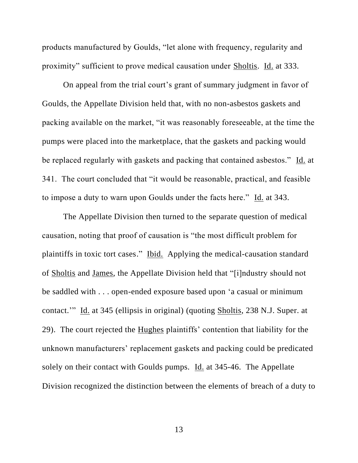products manufactured by Goulds, "let alone with frequency, regularity and proximity" sufficient to prove medical causation under Sholtis. Id. at 333.

On appeal from the trial court's grant of summary judgment in favor of Goulds, the Appellate Division held that, with no non-asbestos gaskets and packing available on the market, "it was reasonably foreseeable, at the time the pumps were placed into the marketplace, that the gaskets and packing would be replaced regularly with gaskets and packing that contained asbestos." Id. at 341. The court concluded that "it would be reasonable, practical, and feasible to impose a duty to warn upon Goulds under the facts here." Id. at 343.

The Appellate Division then turned to the separate question of medical causation, noting that proof of causation is "the most difficult problem for plaintiffs in toxic tort cases." Ibid. Applying the medical-causation standard of Sholtis and James, the Appellate Division held that "[i]ndustry should not be saddled with . . . open-ended exposure based upon 'a casual or minimum contact.'" Id. at 345 (ellipsis in original) (quoting Sholtis, 238 N.J. Super. at 29). The court rejected the Hughes plaintiffs' contention that liability for the unknown manufacturers' replacement gaskets and packing could be predicated solely on their contact with Goulds pumps. Id. at 345-46. The Appellate Division recognized the distinction between the elements of breach of a duty to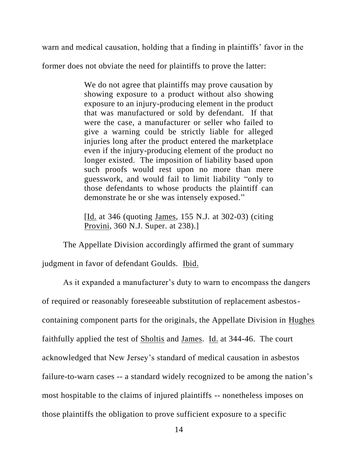warn and medical causation, holding that a finding in plaintiffs' favor in the

former does not obviate the need for plaintiffs to prove the latter:

We do not agree that plaintiffs may prove causation by showing exposure to a product without also showing exposure to an injury-producing element in the product that was manufactured or sold by defendant. If that were the case, a manufacturer or seller who failed to give a warning could be strictly liable for alleged injuries long after the product entered the marketplace even if the injury-producing element of the product no longer existed. The imposition of liability based upon such proofs would rest upon no more than mere guesswork, and would fail to limit liability "only to those defendants to whose products the plaintiff can demonstrate he or she was intensely exposed."

[Id. at 346 (quoting James, 155 N.J. at 302-03) (citing Provini, 360 N.J. Super. at 238).]

The Appellate Division accordingly affirmed the grant of summary

judgment in favor of defendant Goulds. Ibid.

As it expanded a manufacturer's duty to warn to encompass the dangers of required or reasonably foreseeable substitution of replacement asbestoscontaining component parts for the originals, the Appellate Division in Hughes faithfully applied the test of Sholtis and James. Id. at 344-46. The court acknowledged that New Jersey's standard of medical causation in asbestos failure-to-warn cases -- a standard widely recognized to be among the nation's most hospitable to the claims of injured plaintiffs -- nonetheless imposes on those plaintiffs the obligation to prove sufficient exposure to a specific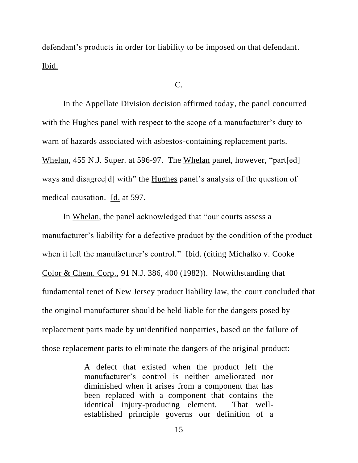defendant's products in order for liability to be imposed on that defendant. Ibid.

# $C_{\cdot}$

In the Appellate Division decision affirmed today, the panel concurred with the Hughes panel with respect to the scope of a manufacturer's duty to warn of hazards associated with asbestos-containing replacement parts. Whelan, 455 N.J. Super. at 596-97. The Whelan panel, however, "part[ed] ways and disagree[d] with" the Hughes panel's analysis of the question of medical causation. Id. at 597.

In Whelan, the panel acknowledged that "our courts assess a manufacturer's liability for a defective product by the condition of the product when it left the manufacturer's control." Ibid. (citing Michalko v. Cooke Color & Chem. Corp., 91 N.J. 386, 400 (1982)). Notwithstanding that fundamental tenet of New Jersey product liability law, the court concluded that the original manufacturer should be held liable for the dangers posed by replacement parts made by unidentified nonparties, based on the failure of those replacement parts to eliminate the dangers of the original product:

> A defect that existed when the product left the manufacturer's control is neither ameliorated nor diminished when it arises from a component that has been replaced with a component that contains the identical injury-producing element. That wellestablished principle governs our definition of a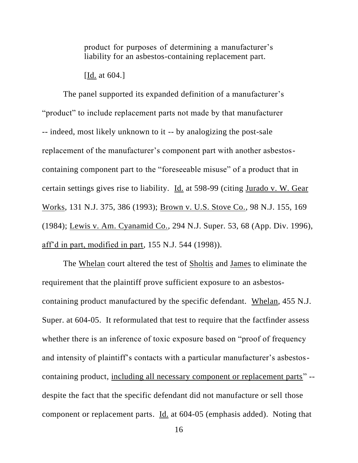product for purposes of determining a manufacturer's liability for an asbestos-containing replacement part.

[Id. at 604.]

The panel supported its expanded definition of a manufacturer's "product" to include replacement parts not made by that manufacturer -- indeed, most likely unknown to it -- by analogizing the post-sale replacement of the manufacturer's component part with another asbestoscontaining component part to the "foreseeable misuse" of a product that in certain settings gives rise to liability. Id. at 598-99 (citing Jurado v. W. Gear Works, 131 N.J. 375, 386 (1993); Brown v. U.S. Stove Co., 98 N.J. 155, 169 (1984); Lewis v. Am. Cyanamid Co., 294 N.J. Super. 53, 68 (App. Div. 1996), aff'd in part, modified in part, 155 N.J. 544 (1998)).

The Whelan court altered the test of Sholtis and James to eliminate the requirement that the plaintiff prove sufficient exposure to an asbestoscontaining product manufactured by the specific defendant. Whelan, 455 N.J. Super. at 604-05. It reformulated that test to require that the factfinder assess whether there is an inference of toxic exposure based on "proof of frequency and intensity of plaintiff's contacts with a particular manufacturer's asbestoscontaining product, including all necessary component or replacement parts" - despite the fact that the specific defendant did not manufacture or sell those component or replacement parts. Id. at 604-05 (emphasis added). Noting that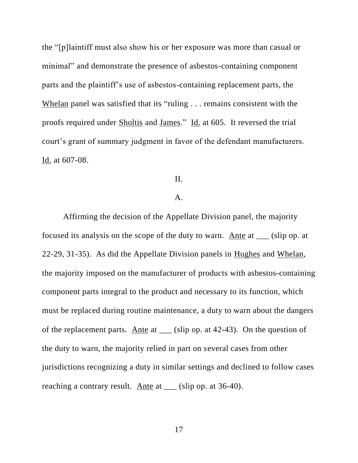the "[p]laintiff must also show his or her exposure was more than casual or minimal" and demonstrate the presence of asbestos-containing component parts and the plaintiff's use of asbestos-containing replacement parts, the Whelan panel was satisfied that its "ruling . . . remains consistent with the proofs required under Sholtis and James." Id. at 605. It reversed the trial court's grant of summary judgment in favor of the defendant manufacturers. Id. at 607-08.

# II.

# A.

Affirming the decision of the Appellate Division panel, the majority focused its analysis on the scope of the duty to warn. Ante at \_\_\_ (slip op. at 22-29, 31-35). As did the Appellate Division panels in Hughes and Whelan, the majority imposed on the manufacturer of products with asbestos-containing component parts integral to the product and necessary to its function, which must be replaced during routine maintenance, a duty to warn about the dangers of the replacement parts. Ante at \_\_\_ (slip op. at 42-43). On the question of the duty to warn, the majority relied in part on several cases from other jurisdictions recognizing a duty in similar settings and declined to follow cases reaching a contrary result. Ante at \_\_\_ (slip op. at 36-40).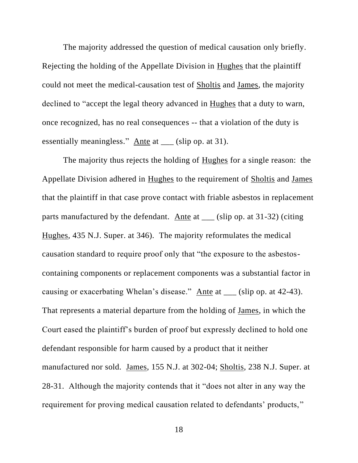The majority addressed the question of medical causation only briefly. Rejecting the holding of the Appellate Division in Hughes that the plaintiff could not meet the medical-causation test of Sholtis and James, the majority declined to "accept the legal theory advanced in Hughes that a duty to warn, once recognized, has no real consequences -- that a violation of the duty is essentially meaningless." Ante at \_\_\_ (slip op. at 31).

The majority thus rejects the holding of **Hughes** for a single reason: the Appellate Division adhered in Hughes to the requirement of Sholtis and James that the plaintiff in that case prove contact with friable asbestos in replacement parts manufactured by the defendant. Ante at \_\_\_ (slip op. at 31-32) (citing Hughes, 435 N.J. Super. at 346). The majority reformulates the medical causation standard to require proof only that "the exposure to the asbestoscontaining components or replacement components was a substantial factor in causing or exacerbating Whelan's disease." Ante at \_\_\_ (slip op. at 42-43). That represents a material departure from the holding of James, in which the Court eased the plaintiff's burden of proof but expressly declined to hold one defendant responsible for harm caused by a product that it neither manufactured nor sold. James, 155 N.J. at 302-04; Sholtis, 238 N.J. Super. at 28-31. Although the majority contends that it "does not alter in any way the requirement for proving medical causation related to defendants' products,"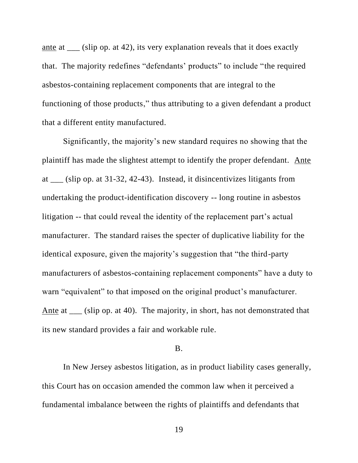ante at \_\_\_ (slip op. at 42), its very explanation reveals that it does exactly that. The majority redefines "defendants' products" to include "the required asbestos-containing replacement components that are integral to the functioning of those products," thus attributing to a given defendant a product that a different entity manufactured.

Significantly, the majority's new standard requires no showing that the plaintiff has made the slightest attempt to identify the proper defendant. Ante at \_\_\_ (slip op. at 31-32, 42-43). Instead, it disincentivizes litigants from undertaking the product-identification discovery -- long routine in asbestos litigation -- that could reveal the identity of the replacement part's actual manufacturer. The standard raises the specter of duplicative liability for the identical exposure, given the majority's suggestion that "the third-party manufacturers of asbestos-containing replacement components" have a duty to warn "equivalent" to that imposed on the original product's manufacturer. Ante at \_\_\_ (slip op. at 40). The majority, in short, has not demonstrated that its new standard provides a fair and workable rule.

#### B.

In New Jersey asbestos litigation, as in product liability cases generally, this Court has on occasion amended the common law when it perceived a fundamental imbalance between the rights of plaintiffs and defendants that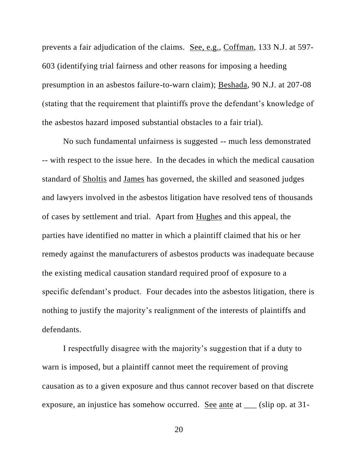prevents a fair adjudication of the claims. See, e.g., Coffman, 133 N.J. at 597- 603 (identifying trial fairness and other reasons for imposing a heeding presumption in an asbestos failure-to-warn claim); Beshada, 90 N.J. at 207-08 (stating that the requirement that plaintiffs prove the defendant's knowledge of the asbestos hazard imposed substantial obstacles to a fair trial).

No such fundamental unfairness is suggested -- much less demonstrated -- with respect to the issue here. In the decades in which the medical causation standard of Sholtis and James has governed, the skilled and seasoned judges and lawyers involved in the asbestos litigation have resolved tens of thousands of cases by settlement and trial. Apart from Hughes and this appeal, the parties have identified no matter in which a plaintiff claimed that his or her remedy against the manufacturers of asbestos products was inadequate because the existing medical causation standard required proof of exposure to a specific defendant's product. Four decades into the asbestos litigation, there is nothing to justify the majority's realignment of the interests of plaintiffs and defendants.

I respectfully disagree with the majority's suggestion that if a duty to warn is imposed, but a plaintiff cannot meet the requirement of proving causation as to a given exposure and thus cannot recover based on that discrete exposure, an injustice has somehow occurred. <u>See ante</u> at \_\_\_ (slip op. at 31-